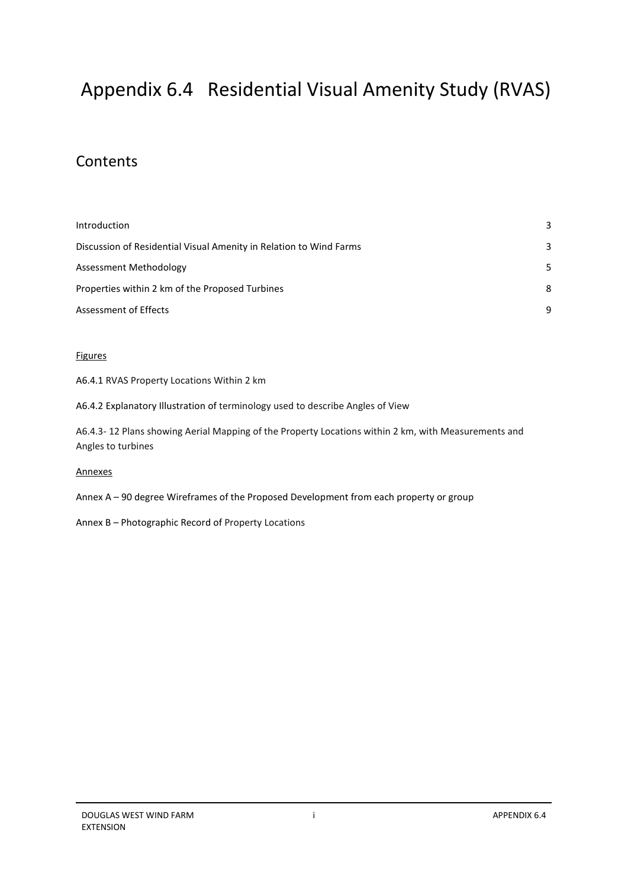# Appendix 6.4 Residential Visual Amenity Study (RVAS)

# **Contents**

| Introduction                                                       | 3 |
|--------------------------------------------------------------------|---|
| Discussion of Residential Visual Amenity in Relation to Wind Farms | 3 |
| Assessment Methodology                                             | 5 |
| Properties within 2 km of the Proposed Turbines                    | 8 |
| Assessment of Effects                                              | 9 |

#### **Figures**

A6.4.1 RVAS Property Locations Within 2 km

A6.4.2 Explanatory Illustration of terminology used to describe Angles of View

A6.4.3- 12 Plans showing Aerial Mapping of the Property Locations within 2 km, with Measurements and Angles to turbines

#### Annexes

Annex A – 90 degree Wireframes of the Proposed Development from each property or group

Annex B – Photographic Record of Property Locations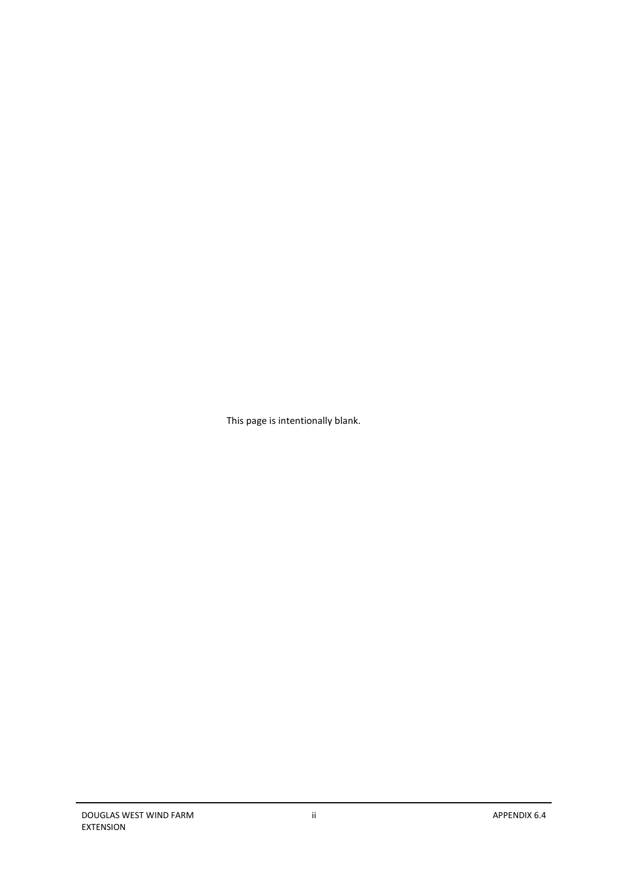This page is intentionally blank.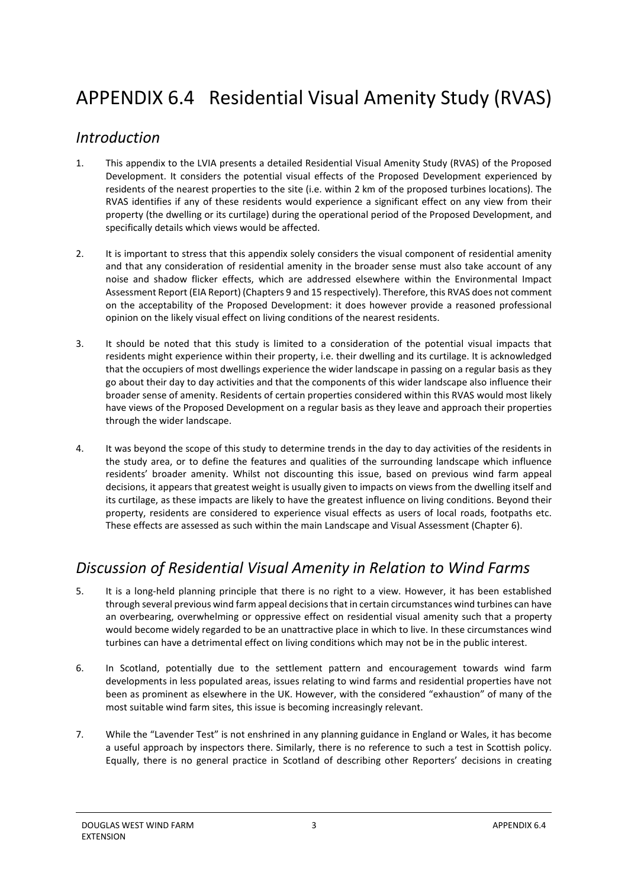# APPENDIX 6.4 Residential Visual Amenity Study (RVAS)

# <span id="page-2-0"></span>*Introduction*

- 1. This appendix to the LVIA presents a detailed Residential Visual Amenity Study (RVAS) of the Proposed Development. It considers the potential visual effects of the Proposed Development experienced by residents of the nearest properties to the site (i.e. within 2 km of the proposed turbines locations). The RVAS identifies if any of these residents would experience a significant effect on any view from their property (the dwelling or its curtilage) during the operational period of the Proposed Development, and specifically details which views would be affected.
- 2. It is important to stress that this appendix solely considers the visual component of residential amenity and that any consideration of residential amenity in the broader sense must also take account of any noise and shadow flicker effects, which are addressed elsewhere within the Environmental Impact Assessment Report (EIA Report) (Chapters 9 and 15 respectively). Therefore, this RVAS does not comment on the acceptability of the Proposed Development: it does however provide a reasoned professional opinion on the likely visual effect on living conditions of the nearest residents.
- 3. It should be noted that this study is limited to a consideration of the potential visual impacts that residents might experience within their property, i.e. their dwelling and its curtilage. It is acknowledged that the occupiers of most dwellings experience the wider landscape in passing on a regular basis as they go about their day to day activities and that the components of this wider landscape also influence their broader sense of amenity. Residents of certain properties considered within this RVAS would most likely have views of the Proposed Development on a regular basis as they leave and approach their properties through the wider landscape.
- 4. It was beyond the scope of this study to determine trends in the day to day activities of the residents in the study area, or to define the features and qualities of the surrounding landscape which influence residents' broader amenity. Whilst not discounting this issue, based on previous wind farm appeal decisions, it appears that greatest weight is usually given to impacts on views from the dwelling itself and its curtilage, as these impacts are likely to have the greatest influence on living conditions. Beyond their property, residents are considered to experience visual effects as users of local roads, footpaths etc. These effects are assessed as such within the main Landscape and Visual Assessment (Chapter 6).

# <span id="page-2-1"></span>*Discussion of Residential Visual Amenity in Relation to Wind Farms*

- 5. It is a long-held planning principle that there is no right to a view. However, it has been established through several previous wind farm appeal decisions that in certain circumstances wind turbines can have an overbearing, overwhelming or oppressive effect on residential visual amenity such that a property would become widely regarded to be an unattractive place in which to live. In these circumstances wind turbines can have a detrimental effect on living conditions which may not be in the public interest.
- 6. In Scotland, potentially due to the settlement pattern and encouragement towards wind farm developments in less populated areas, issues relating to wind farms and residential properties have not been as prominent as elsewhere in the UK. However, with the considered "exhaustion" of many of the most suitable wind farm sites, this issue is becoming increasingly relevant.
- 7. While the "Lavender Test" is not enshrined in any planning guidance in England or Wales, it has become a useful approach by inspectors there. Similarly, there is no reference to such a test in Scottish policy. Equally, there is no general practice in Scotland of describing other Reporters' decisions in creating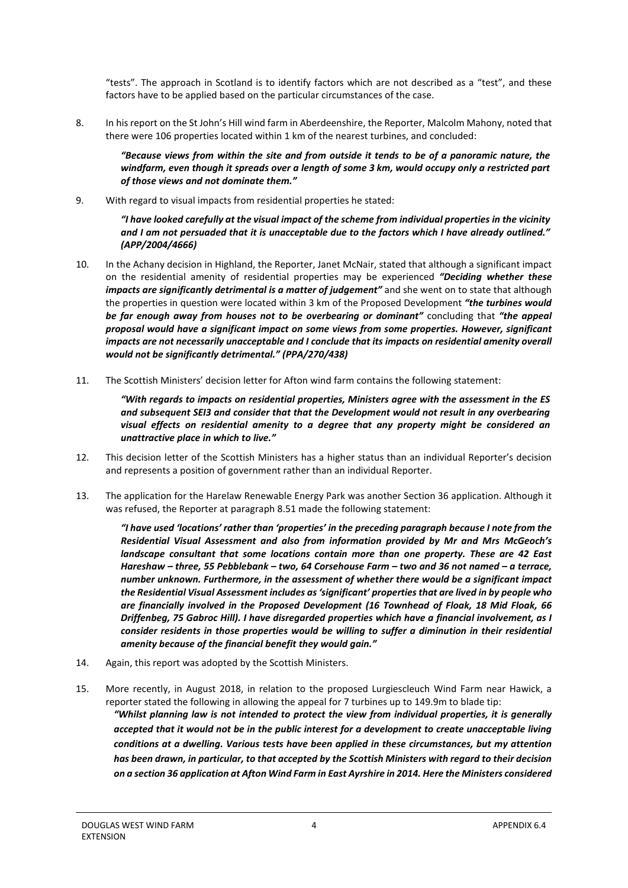"tests". The approach in Scotland is to identify factors which are not described as a "test", and these factors have to be applied based on the particular circumstances of the case.

8. In his report on the St John's Hill wind farm in Aberdeenshire, the Reporter, Malcolm Mahony, noted that there were 106 properties located within 1 km of the nearest turbines, and concluded:

*"Because views from within the site and from outside it tends to be of a panoramic nature, the windfarm, even though it spreads over a length of some 3 km, would occupy only a restricted part of those views and not dominate them."*

9. With regard to visual impacts from residential properties he stated:

*"I have looked carefully at the visual impact of the scheme from individual properties in the vicinity and I am not persuaded that it is unacceptable due to the factors which I have already outlined." (APP/2004/4666)*

- 10. In the Achany decision in Highland, the Reporter, Janet McNair, stated that although a significant impact on the residential amenity of residential properties may be experienced *"Deciding whether these impacts are significantly detrimental is a matter of judgement"* and she went on to state that although the properties in question were located within 3 km of the Proposed Development *"the turbines would be far enough away from houses not to be overbearing or dominant"* concluding that *"the appeal proposal would have a significant impact on some views from some properties. However, significant impacts are not necessarily unacceptable and I conclude that its impacts on residential amenity overall would not be significantly detrimental." (PPA/270/438)*
- 11. The Scottish Ministers' decision letter for Afton wind farm contains the following statement:

*"With regards to impacts on residential properties, Ministers agree with the assessment in the ES and subsequent SEI3 and consider that that the Development would not result in any overbearing visual effects on residential amenity to a degree that any property might be considered an unattractive place in which to live."* 

- 12. This decision letter of the Scottish Ministers has a higher status than an individual Reporter's decision and represents a position of government rather than an individual Reporter.
- 13. The application for the Harelaw Renewable Energy Park was another Section 36 application. Although it was refused, the Reporter at paragraph 8.51 made the following statement:

*"I have used 'locations' rather than 'properties' in the preceding paragraph because I note from the Residential Visual Assessment and also from information provided by Mr and Mrs McGeoch's landscape consultant that some locations contain more than one property. These are 42 East Hareshaw – three, 55 Pebblebank – two, 64 Corsehouse Farm – two and 36 not named – a terrace, number unknown. Furthermore, in the assessment of whether there would be a significant impact the Residential Visual Assessment includes as 'significant' properties that are lived in by people who are financially involved in the Proposed Development (16 Townhead of Floak, 18 Mid Floak, 66 Driffenbeg, 75 Gabroc Hill). I have disregarded properties which have a financial involvement, as I consider residents in those properties would be willing to suffer a diminution in their residential amenity because of the financial benefit they would gain."*

- 14. Again, this report was adopted by the Scottish Ministers.
- 15. More recently, in August 2018, in relation to the proposed Lurgiescleuch Wind Farm near Hawick, a reporter stated the following in allowing the appeal for 7 turbines up to 149.9m to blade tip: *"Whilst planning law is not intended to protect the view from individual properties, it is generally accepted that it would not be in the public interest for a development to create unacceptable living conditions at a dwelling. Various tests have been applied in these circumstances, but my attention has been drawn, in particular, to that accepted by the Scottish Ministers with regard to their decision on a section 36 application at Afton Wind Farm in East Ayrshire in 2014. Here the Ministers considered*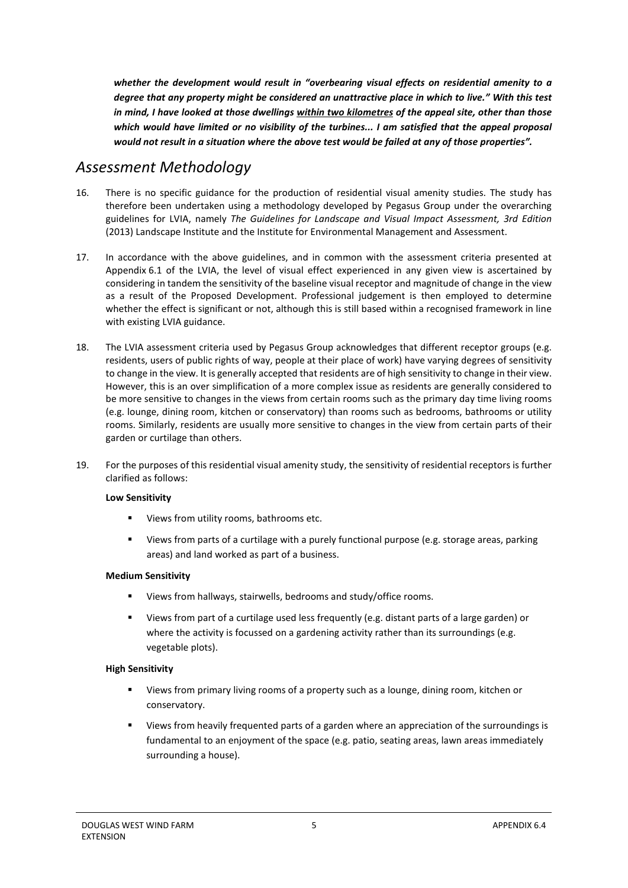*whether the development would result in "overbearing visual effects on residential amenity to a degree that any property might be considered an unattractive place in which to live." With this test in mind, I have looked at those dwellings within two kilometres of the appeal site, other than those which would have limited or no visibility of the turbines... I am satisfied that the appeal proposal would not result in a situation where the above test would be failed at any of those properties".*

# <span id="page-4-0"></span>*Assessment Methodology*

- 16. There is no specific guidance for the production of residential visual amenity studies. The study has therefore been undertaken using a methodology developed by Pegasus Group under the overarching guidelines for LVIA, namely *The Guidelines for Landscape and Visual Impact Assessment, 3rd Edition* (2013) Landscape Institute and the Institute for Environmental Management and Assessment.
- 17. In accordance with the above guidelines, and in common with the assessment criteria presented at Appendix 6.1 of the LVIA, the level of visual effect experienced in any given view is ascertained by considering in tandem the sensitivity of the baseline visual receptor and magnitude of change in the view as a result of the Proposed Development. Professional judgement is then employed to determine whether the effect is significant or not, although this is still based within a recognised framework in line with existing LVIA guidance.
- 18. The LVIA assessment criteria used by Pegasus Group acknowledges that different receptor groups (e.g. residents, users of public rights of way, people at their place of work) have varying degrees of sensitivity to change in the view. It is generally accepted that residents are of high sensitivity to change in their view. However, this is an over simplification of a more complex issue as residents are generally considered to be more sensitive to changes in the views from certain rooms such as the primary day time living rooms (e.g. lounge, dining room, kitchen or conservatory) than rooms such as bedrooms, bathrooms or utility rooms. Similarly, residents are usually more sensitive to changes in the view from certain parts of their garden or curtilage than others.
- 19. For the purposes of this residential visual amenity study, the sensitivity of residential receptors is further clarified as follows:

### **Low Sensitivity**

- Views from utility rooms, bathrooms etc.
- Views from parts of a curtilage with a purely functional purpose (e.g. storage areas, parking areas) and land worked as part of a business.

# **Medium Sensitivity**

- Views from hallways, stairwells, bedrooms and study/office rooms.
- Views from part of a curtilage used less frequently (e.g. distant parts of a large garden) or where the activity is focussed on a gardening activity rather than its surroundings (e.g. vegetable plots).

# **High Sensitivity**

- Views from primary living rooms of a property such as a lounge, dining room, kitchen or conservatory.
- Views from heavily frequented parts of a garden where an appreciation of the surroundings is fundamental to an enjoyment of the space (e.g. patio, seating areas, lawn areas immediately surrounding a house).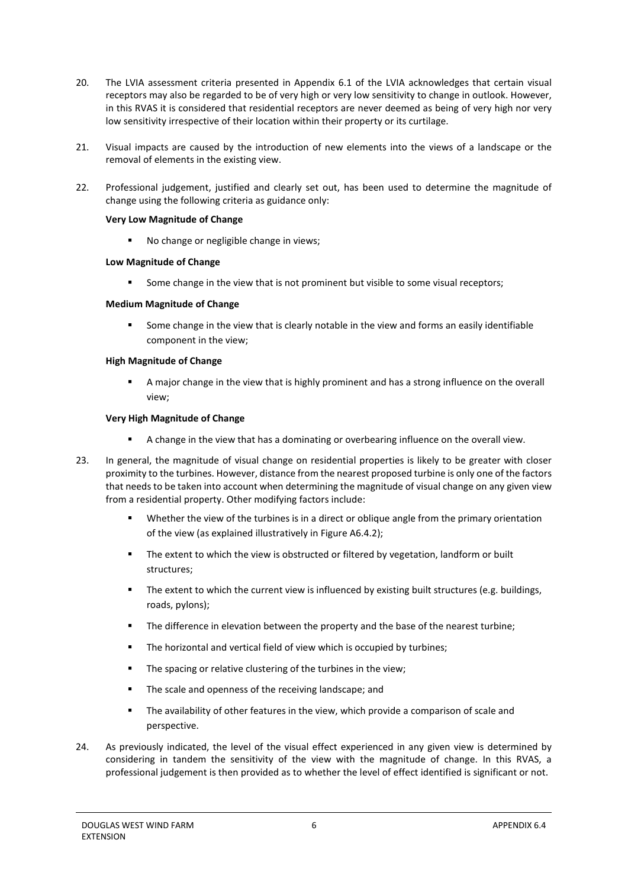- 20. The LVIA assessment criteria presented in Appendix 6.1 of the LVIA acknowledges that certain visual receptors may also be regarded to be of very high or very low sensitivity to change in outlook. However, in this RVAS it is considered that residential receptors are never deemed as being of very high nor very low sensitivity irrespective of their location within their property or its curtilage.
- 21. Visual impacts are caused by the introduction of new elements into the views of a landscape or the removal of elements in the existing view.
- 22. Professional judgement, justified and clearly set out, has been used to determine the magnitude of change using the following criteria as guidance only:

#### **Very Low Magnitude of Change**

**No change or negligible change in views;** 

#### **Low Magnitude of Change**

**Some change in the view that is not prominent but visible to some visual receptors;** 

#### **Medium Magnitude of Change**

 Some change in the view that is clearly notable in the view and forms an easily identifiable component in the view;

#### **High Magnitude of Change**

 A major change in the view that is highly prominent and has a strong influence on the overall view;

#### **Very High Magnitude of Change**

- A change in the view that has a dominating or overbearing influence on the overall view.
- 23. In general, the magnitude of visual change on residential properties is likely to be greater with closer proximity to the turbines. However, distance from the nearest proposed turbine is only one of the factors that needs to be taken into account when determining the magnitude of visual change on any given view from a residential property. Other modifying factors include:
	- Whether the view of the turbines is in a direct or oblique angle from the primary orientation of the view (as explained illustratively in Figure A6.4.2);
	- The extent to which the view is obstructed or filtered by vegetation, landform or built structures;
	- **The extent to which the current view is influenced by existing built structures (e.g. buildings,** roads, pylons);
	- **The difference in elevation between the property and the base of the nearest turbine;**
	- **The horizontal and vertical field of view which is occupied by turbines;**
	- The spacing or relative clustering of the turbines in the view;
	- **The scale and openness of the receiving landscape; and**
	- The availability of other features in the view, which provide a comparison of scale and perspective.
- 24. As previously indicated, the level of the visual effect experienced in any given view is determined by considering in tandem the sensitivity of the view with the magnitude of change. In this RVAS, a professional judgement is then provided as to whether the level of effect identified is significant or not.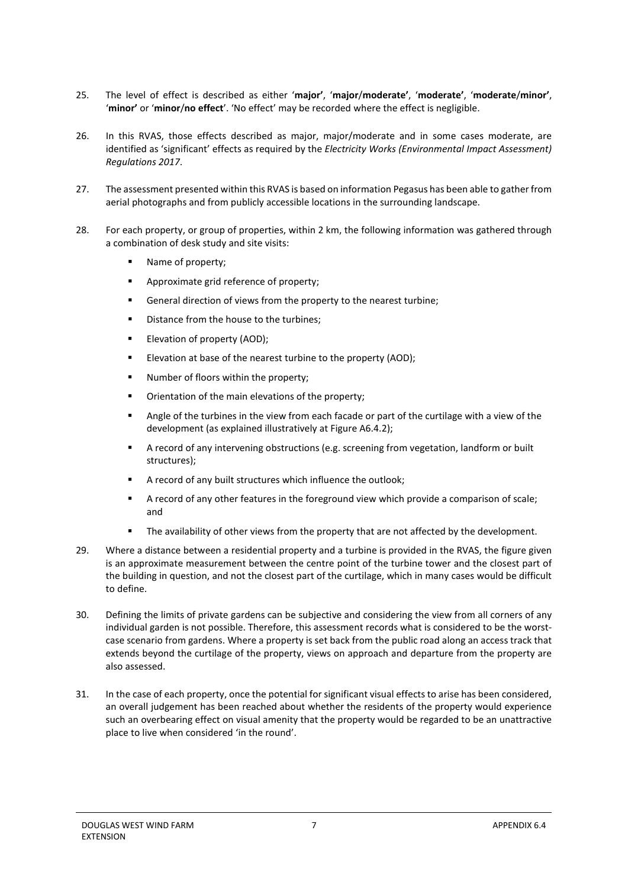- 25. The level of effect is described as either '**major'**, '**major**/**moderate'**, '**moderate'**, '**moderate**/**minor'**, '**minor'** or '**minor**/**no effect**'. 'No effect' may be recorded where the effect is negligible.
- 26. In this RVAS, those effects described as major, major/moderate and in some cases moderate, are identified as 'significant' effects as required by the *Electricity Works (Environmental Impact Assessment) Regulations 2017*.
- 27. The assessment presented within this RVAS is based on information Pegasus has been able to gather from aerial photographs and from publicly accessible locations in the surrounding landscape.
- 28. For each property, or group of properties, within 2 km, the following information was gathered through a combination of desk study and site visits:
	- Name of property;
	- **Approximate grid reference of property;**
	- **General direction of views from the property to the nearest turbine;**
	- Distance from the house to the turbines;
	- **Elevation of property (AOD);**
	- **Elevation at base of the nearest turbine to the property (AOD):**
	- Number of floors within the property;
	- **•** Orientation of the main elevations of the property;
	- **Angle of the turbines in the view from each facade or part of the curtilage with a view of the** development (as explained illustratively at Figure A6.4.2);
	- A record of any intervening obstructions (e.g. screening from vegetation, landform or built structures);
	- A record of any built structures which influence the outlook;
	- A record of any other features in the foreground view which provide a comparison of scale; and
	- **The availability of other views from the property that are not affected by the development.**
- 29. Where a distance between a residential property and a turbine is provided in the RVAS, the figure given is an approximate measurement between the centre point of the turbine tower and the closest part of the building in question, and not the closest part of the curtilage, which in many cases would be difficult to define.
- 30. Defining the limits of private gardens can be subjective and considering the view from all corners of any individual garden is not possible. Therefore, this assessment records what is considered to be the worstcase scenario from gardens. Where a property is set back from the public road along an access track that extends beyond the curtilage of the property, views on approach and departure from the property are also assessed.
- 31. In the case of each property, once the potential for significant visual effects to arise has been considered, an overall judgement has been reached about whether the residents of the property would experience such an overbearing effect on visual amenity that the property would be regarded to be an unattractive place to live when considered 'in the round'.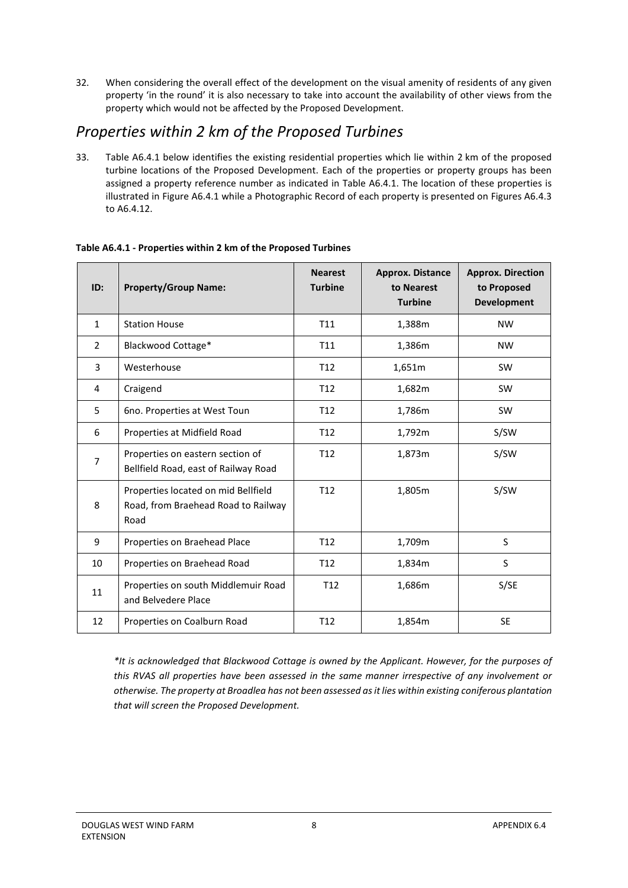32. When considering the overall effect of the development on the visual amenity of residents of any given property 'in the round' it is also necessary to take into account the availability of other views from the property which would not be affected by the Proposed Development.

# <span id="page-7-0"></span>*Properties within 2 km of the Proposed Turbines*

33. Table A6.4.1 below identifies the existing residential properties which lie within 2 km of the proposed turbine locations of the Proposed Development. Each of the properties or property groups has been assigned a property reference number as indicated in Table A6.4.1. The location of these properties is illustrated in Figure A6.4.1 while a Photographic Record of each property is presented on Figures A6.4.3 to A6.4.12.

| ID:            | <b>Property/Group Name:</b>                                                        | <b>Nearest</b><br><b>Turbine</b> | <b>Approx. Distance</b><br>to Nearest<br><b>Turbine</b> | <b>Approx. Direction</b><br>to Proposed<br>Development |
|----------------|------------------------------------------------------------------------------------|----------------------------------|---------------------------------------------------------|--------------------------------------------------------|
| $\mathbf{1}$   | <b>Station House</b>                                                               | T <sub>11</sub>                  | 1,388m                                                  | <b>NW</b>                                              |
| $\overline{2}$ | Blackwood Cottage*                                                                 | T <sub>11</sub>                  | 1,386m                                                  | <b>NW</b>                                              |
| 3              | Westerhouse                                                                        | T <sub>12</sub>                  | 1,651m                                                  | <b>SW</b>                                              |
| 4              | Craigend                                                                           | T <sub>12</sub>                  | 1,682m                                                  | SW                                                     |
| 5              | 6no. Properties at West Toun                                                       | T <sub>12</sub>                  | 1,786m                                                  | <b>SW</b>                                              |
| 6              | Properties at Midfield Road                                                        | T <sub>12</sub>                  | 1,792m                                                  | S/SW                                                   |
| $\overline{7}$ | Properties on eastern section of<br>Bellfield Road, east of Railway Road           | T <sub>12</sub>                  | 1,873m                                                  | S/SW                                                   |
| 8              | Properties located on mid Bellfield<br>Road, from Braehead Road to Railway<br>Road | T <sub>12</sub>                  | 1,805m                                                  | S/SW                                                   |
| 9              | Properties on Braehead Place                                                       | T <sub>12</sub>                  | 1,709m                                                  | S                                                      |
| 10             | Properties on Braehead Road                                                        | T <sub>12</sub>                  | 1,834m                                                  | S.                                                     |
| 11             | Properties on south Middlemuir Road<br>and Belvedere Place                         | T <sub>12</sub>                  | 1,686m                                                  | S/SE                                                   |
| 12             | Properties on Coalburn Road                                                        | T <sub>12</sub>                  | 1,854m                                                  | <b>SE</b>                                              |

# **Table A6.4.1 - Properties within 2 km of the Proposed Turbines**

<span id="page-7-1"></span>*\*It is acknowledged that Blackwood Cottage is owned by the Applicant. However, for the purposes of this RVAS all properties have been assessed in the same manner irrespective of any involvement or otherwise. The property at Broadlea has not been assessed as it lies within existing coniferous plantation that will screen the Proposed Development.*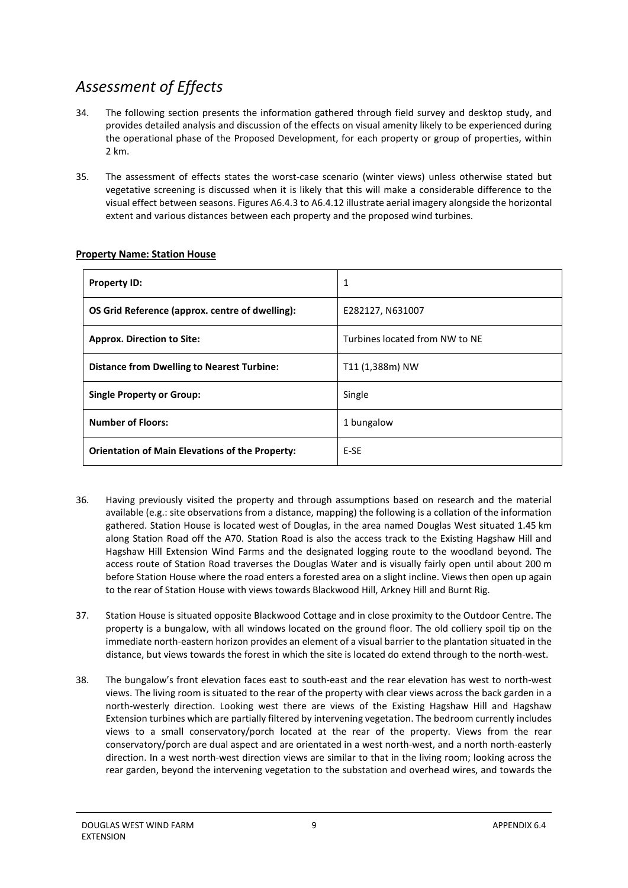# *Assessment of Effects*

- 34. The following section presents the information gathered through field survey and desktop study, and provides detailed analysis and discussion of the effects on visual amenity likely to be experienced during the operational phase of the Proposed Development, for each property or group of properties, within 2 km.
- 35. The assessment of effects states the worst-case scenario (winter views) unless otherwise stated but vegetative screening is discussed when it is likely that this will make a considerable difference to the visual effect between seasons. Figures A6.4.3 to A6.4.12 illustrate aerial imagery alongside the horizontal extent and various distances between each property and the proposed wind turbines.

| <b>Property ID:</b>                                    | 1                              |
|--------------------------------------------------------|--------------------------------|
| OS Grid Reference (approx. centre of dwelling):        | E282127, N631007               |
| <b>Approx. Direction to Site:</b>                      | Turbines located from NW to NE |
| <b>Distance from Dwelling to Nearest Turbine:</b>      | T11 (1,388m) NW                |
| <b>Single Property or Group:</b>                       | Single                         |
| <b>Number of Floors:</b>                               | 1 bungalow                     |
| <b>Orientation of Main Elevations of the Property:</b> | E-SE                           |

# **Property Name: Station House**

- 36. Having previously visited the property and through assumptions based on research and the material available (e.g.: site observations from a distance, mapping) the following is a collation of the information gathered. Station House is located west of Douglas, in the area named Douglas West situated 1.45 km along Station Road off the A70. Station Road is also the access track to the Existing Hagshaw Hill and Hagshaw Hill Extension Wind Farms and the designated logging route to the woodland beyond. The access route of Station Road traverses the Douglas Water and is visually fairly open until about 200 m before Station House where the road enters a forested area on a slight incline. Views then open up again to the rear of Station House with views towards Blackwood Hill, Arkney Hill and Burnt Rig.
- 37. Station House is situated opposite Blackwood Cottage and in close proximity to the Outdoor Centre. The property is a bungalow, with all windows located on the ground floor. The old colliery spoil tip on the immediate north-eastern horizon provides an element of a visual barrier to the plantation situated in the distance, but views towards the forest in which the site is located do extend through to the north-west.
- 38. The bungalow's front elevation faces east to south-east and the rear elevation has west to north-west views. The living room is situated to the rear of the property with clear views across the back garden in a north-westerly direction. Looking west there are views of the Existing Hagshaw Hill and Hagshaw Extension turbines which are partially filtered by intervening vegetation. The bedroom currently includes views to a small conservatory/porch located at the rear of the property. Views from the rear conservatory/porch are dual aspect and are orientated in a west north-west, and a north north-easterly direction. In a west north-west direction views are similar to that in the living room; looking across the rear garden, beyond the intervening vegetation to the substation and overhead wires, and towards the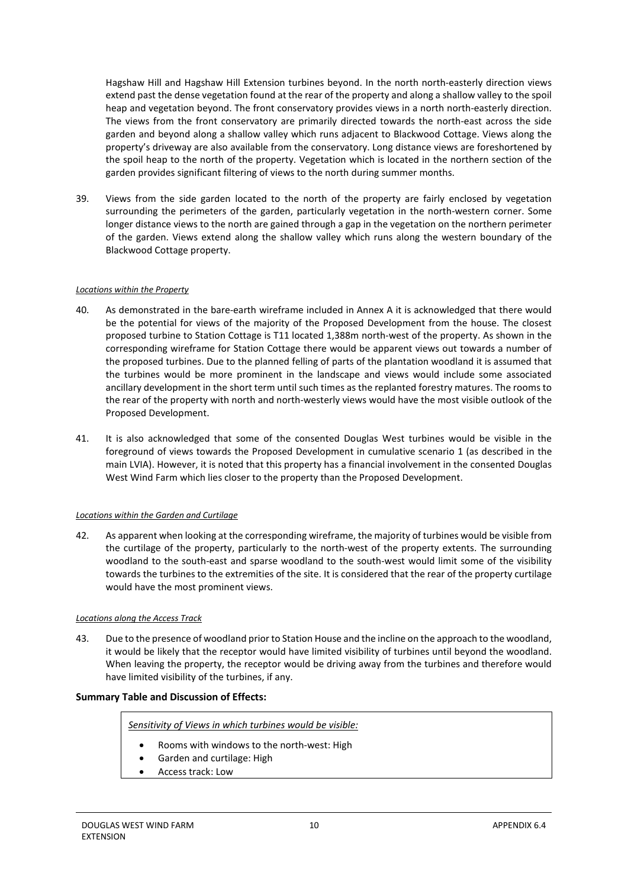Hagshaw Hill and Hagshaw Hill Extension turbines beyond. In the north north-easterly direction views extend past the dense vegetation found at the rear of the property and along a shallow valley to the spoil heap and vegetation beyond. The front conservatory provides views in a north north-easterly direction. The views from the front conservatory are primarily directed towards the north-east across the side garden and beyond along a shallow valley which runs adjacent to Blackwood Cottage. Views along the property's driveway are also available from the conservatory. Long distance views are foreshortened by the spoil heap to the north of the property. Vegetation which is located in the northern section of the garden provides significant filtering of views to the north during summer months.

39. Views from the side garden located to the north of the property are fairly enclosed by vegetation surrounding the perimeters of the garden, particularly vegetation in the north-western corner. Some longer distance views to the north are gained through a gap in the vegetation on the northern perimeter of the garden. Views extend along the shallow valley which runs along the western boundary of the Blackwood Cottage property.

#### *Locations within the Property*

- 40. As demonstrated in the bare-earth wireframe included in Annex A it is acknowledged that there would be the potential for views of the majority of the Proposed Development from the house. The closest proposed turbine to Station Cottage is T11 located 1,388m north-west of the property. As shown in the corresponding wireframe for Station Cottage there would be apparent views out towards a number of the proposed turbines. Due to the planned felling of parts of the plantation woodland it is assumed that the turbines would be more prominent in the landscape and views would include some associated ancillary development in the short term until such times as the replanted forestry matures. The rooms to the rear of the property with north and north-westerly views would have the most visible outlook of the Proposed Development.
- 41. It is also acknowledged that some of the consented Douglas West turbines would be visible in the foreground of views towards the Proposed Development in cumulative scenario 1 (as described in the main LVIA). However, it is noted that this property has a financial involvement in the consented Douglas West Wind Farm which lies closer to the property than the Proposed Development.

#### *Locations within the Garden and Curtilage*

42. As apparent when looking at the corresponding wireframe, the majority of turbines would be visible from the curtilage of the property, particularly to the north-west of the property extents. The surrounding woodland to the south-east and sparse woodland to the south-west would limit some of the visibility towards the turbines to the extremities of the site. It is considered that the rear of the property curtilage would have the most prominent views.

#### *Locations along the Access Track*

43. Due to the presence of woodland prior to Station House and the incline on the approach to the woodland, it would be likely that the receptor would have limited visibility of turbines until beyond the woodland. When leaving the property, the receptor would be driving away from the turbines and therefore would have limited visibility of the turbines, if any.

### **Summary Table and Discussion of Effects:**

*Sensitivity of Views in which turbines would be visible:*

- Rooms with windows to the north-west: High
- Garden and curtilage: High
- Access track: Low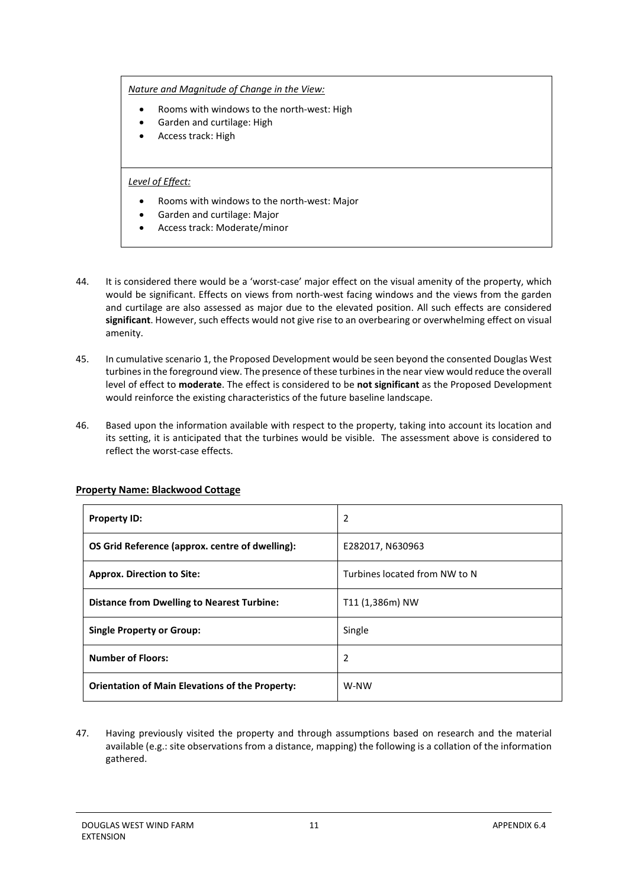*Nature and Magnitude of Change in the View:*

- Rooms with windows to the north-west: High
- Garden and curtilage: High
- Access track: High

*Level of Effect:*

- Rooms with windows to the north-west: Major
- Garden and curtilage: Major
- Access track: Moderate/minor
- 44. It is considered there would be a 'worst-case' major effect on the visual amenity of the property, which would be significant. Effects on views from north-west facing windows and the views from the garden and curtilage are also assessed as major due to the elevated position. All such effects are considered **significant**. However, such effects would not give rise to an overbearing or overwhelming effect on visual amenity.
- 45. In cumulative scenario 1, the Proposed Development would be seen beyond the consented Douglas West turbines in the foreground view. The presence of these turbines in the near view would reduce the overall level of effect to **moderate**. The effect is considered to be **not significant** as the Proposed Development would reinforce the existing characteristics of the future baseline landscape.
- 46. Based upon the information available with respect to the property, taking into account its location and its setting, it is anticipated that the turbines would be visible. The assessment above is considered to reflect the worst-case effects.

| <b>Property ID:</b>                                    | 2                             |
|--------------------------------------------------------|-------------------------------|
| OS Grid Reference (approx. centre of dwelling):        | E282017, N630963              |
| <b>Approx. Direction to Site:</b>                      | Turbines located from NW to N |
| <b>Distance from Dwelling to Nearest Turbine:</b>      | T11 (1,386m) NW               |
| <b>Single Property or Group:</b>                       | Single                        |
| <b>Number of Floors:</b>                               | 2                             |
| <b>Orientation of Main Elevations of the Property:</b> | W-NW                          |

### **Property Name: Blackwood Cottage**

47. Having previously visited the property and through assumptions based on research and the material available (e.g.: site observations from a distance, mapping) the following is a collation of the information gathered.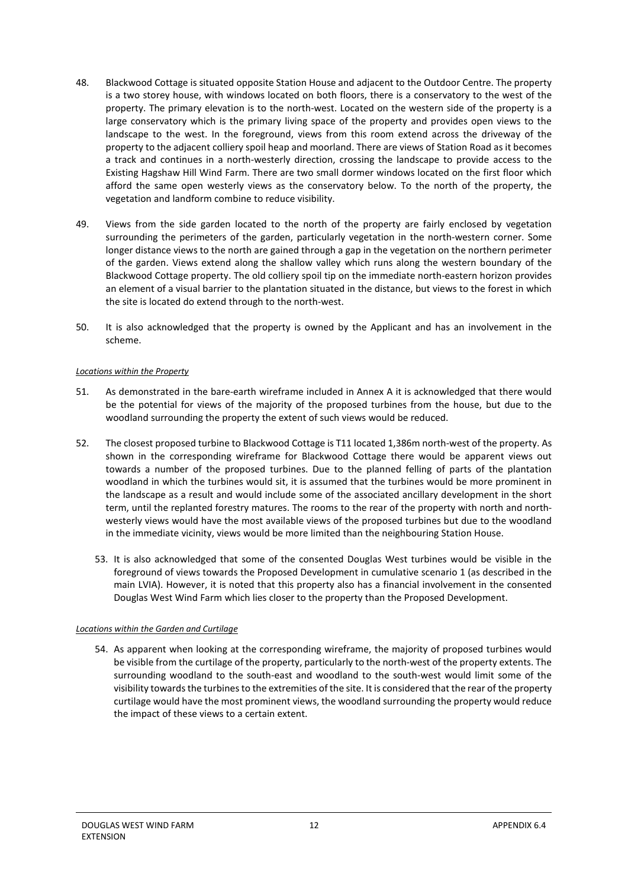- 48. Blackwood Cottage is situated opposite Station House and adjacent to the Outdoor Centre. The property is a two storey house, with windows located on both floors, there is a conservatory to the west of the property. The primary elevation is to the north-west. Located on the western side of the property is a large conservatory which is the primary living space of the property and provides open views to the landscape to the west. In the foreground, views from this room extend across the driveway of the property to the adjacent colliery spoil heap and moorland. There are views of Station Road as it becomes a track and continues in a north-westerly direction, crossing the landscape to provide access to the Existing Hagshaw Hill Wind Farm. There are two small dormer windows located on the first floor which afford the same open westerly views as the conservatory below. To the north of the property, the vegetation and landform combine to reduce visibility.
- 49. Views from the side garden located to the north of the property are fairly enclosed by vegetation surrounding the perimeters of the garden, particularly vegetation in the north-western corner. Some longer distance views to the north are gained through a gap in the vegetation on the northern perimeter of the garden. Views extend along the shallow valley which runs along the western boundary of the Blackwood Cottage property. The old colliery spoil tip on the immediate north-eastern horizon provides an element of a visual barrier to the plantation situated in the distance, but views to the forest in which the site is located do extend through to the north-west.
- 50. It is also acknowledged that the property is owned by the Applicant and has an involvement in the scheme.

#### *Locations within the Property*

- 51. As demonstrated in the bare-earth wireframe included in Annex A it is acknowledged that there would be the potential for views of the majority of the proposed turbines from the house, but due to the woodland surrounding the property the extent of such views would be reduced.
- 52. The closest proposed turbine to Blackwood Cottage is T11 located 1,386m north-west of the property. As shown in the corresponding wireframe for Blackwood Cottage there would be apparent views out towards a number of the proposed turbines. Due to the planned felling of parts of the plantation woodland in which the turbines would sit, it is assumed that the turbines would be more prominent in the landscape as a result and would include some of the associated ancillary development in the short term, until the replanted forestry matures. The rooms to the rear of the property with north and northwesterly views would have the most available views of the proposed turbines but due to the woodland in the immediate vicinity, views would be more limited than the neighbouring Station House.
	- 53. It is also acknowledged that some of the consented Douglas West turbines would be visible in the foreground of views towards the Proposed Development in cumulative scenario 1 (as described in the main LVIA). However, it is noted that this property also has a financial involvement in the consented Douglas West Wind Farm which lies closer to the property than the Proposed Development.

#### *Locations within the Garden and Curtilage*

54. As apparent when looking at the corresponding wireframe, the majority of proposed turbines would be visible from the curtilage of the property, particularly to the north-west of the property extents. The surrounding woodland to the south-east and woodland to the south-west would limit some of the visibility towards the turbines to the extremities of the site. It is considered that the rear of the property curtilage would have the most prominent views, the woodland surrounding the property would reduce the impact of these views to a certain extent.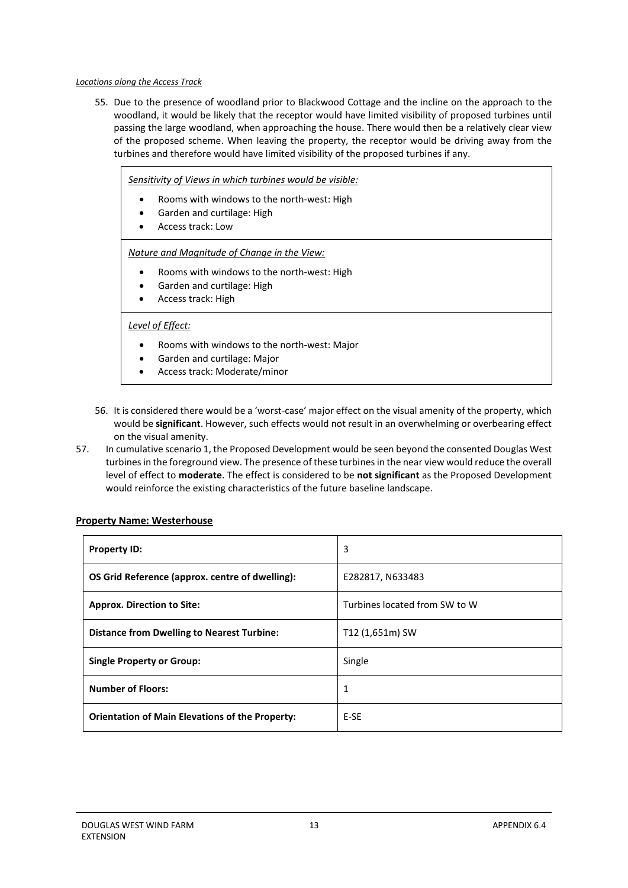#### *Locations along the Access Track*

55. Due to the presence of woodland prior to Blackwood Cottage and the incline on the approach to the woodland, it would be likely that the receptor would have limited visibility of proposed turbines until passing the large woodland, when approaching the house. There would then be a relatively clear view of the proposed scheme. When leaving the property, the receptor would be driving away from the turbines and therefore would have limited visibility of the proposed turbines if any.

*Sensitivity of Views in which turbines would be visible:*

- Rooms with windows to the north-west: High
- Garden and curtilage: High
- Access track: Low

*Nature and Magnitude of Change in the View:*

- Rooms with windows to the north-west: High
- Garden and curtilage: High
- Access track: High

#### *Level of Effect:*

- Rooms with windows to the north-west: Major
- Garden and curtilage: Major
- Access track: Moderate/minor
- 56. It is considered there would be a 'worst-case' major effect on the visual amenity of the property, which would be **significant**. However, such effects would not result in an overwhelming or overbearing effect on the visual amenity.
- 57. In cumulative scenario 1, the Proposed Development would be seen beyond the consented Douglas West turbines in the foreground view. The presence of these turbines in the near view would reduce the overall level of effect to **moderate**. The effect is considered to be **not significant** as the Proposed Development would reinforce the existing characteristics of the future baseline landscape.

### **Property Name: Westerhouse**

| <b>Property ID:</b>                                    | 3                             |
|--------------------------------------------------------|-------------------------------|
| OS Grid Reference (approx. centre of dwelling):        | E282817, N633483              |
| <b>Approx. Direction to Site:</b>                      | Turbines located from SW to W |
| <b>Distance from Dwelling to Nearest Turbine:</b>      | T12 (1,651m) SW               |
| <b>Single Property or Group:</b>                       | Single                        |
| <b>Number of Floors:</b>                               | 1                             |
| <b>Orientation of Main Elevations of the Property:</b> | E-SE                          |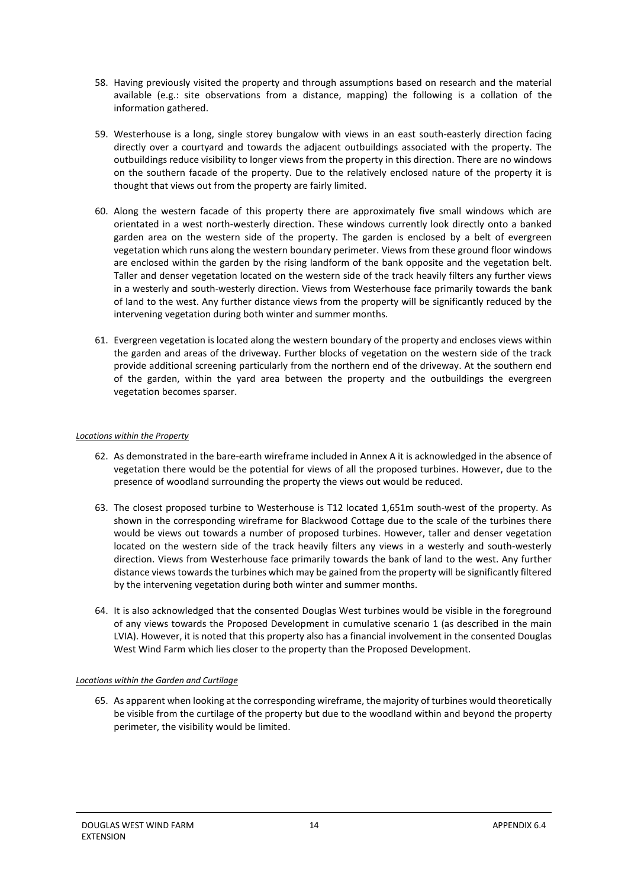- 58. Having previously visited the property and through assumptions based on research and the material available (e.g.: site observations from a distance, mapping) the following is a collation of the information gathered.
- 59. Westerhouse is a long, single storey bungalow with views in an east south-easterly direction facing directly over a courtyard and towards the adjacent outbuildings associated with the property. The outbuildings reduce visibility to longer views from the property in this direction. There are no windows on the southern facade of the property. Due to the relatively enclosed nature of the property it is thought that views out from the property are fairly limited.
- 60. Along the western facade of this property there are approximately five small windows which are orientated in a west north-westerly direction. These windows currently look directly onto a banked garden area on the western side of the property. The garden is enclosed by a belt of evergreen vegetation which runs along the western boundary perimeter. Views from these ground floor windows are enclosed within the garden by the rising landform of the bank opposite and the vegetation belt. Taller and denser vegetation located on the western side of the track heavily filters any further views in a westerly and south-westerly direction. Views from Westerhouse face primarily towards the bank of land to the west. Any further distance views from the property will be significantly reduced by the intervening vegetation during both winter and summer months.
- 61. Evergreen vegetation is located along the western boundary of the property and encloses views within the garden and areas of the driveway. Further blocks of vegetation on the western side of the track provide additional screening particularly from the northern end of the driveway. At the southern end of the garden, within the yard area between the property and the outbuildings the evergreen vegetation becomes sparser.

#### *Locations within the Property*

- 62. As demonstrated in the bare-earth wireframe included in Annex A it is acknowledged in the absence of vegetation there would be the potential for views of all the proposed turbines. However, due to the presence of woodland surrounding the property the views out would be reduced.
- 63. The closest proposed turbine to Westerhouse is T12 located 1,651m south-west of the property. As shown in the corresponding wireframe for Blackwood Cottage due to the scale of the turbines there would be views out towards a number of proposed turbines. However, taller and denser vegetation located on the western side of the track heavily filters any views in a westerly and south-westerly direction. Views from Westerhouse face primarily towards the bank of land to the west. Any further distance views towards the turbines which may be gained from the property will be significantly filtered by the intervening vegetation during both winter and summer months.
- 64. It is also acknowledged that the consented Douglas West turbines would be visible in the foreground of any views towards the Proposed Development in cumulative scenario 1 (as described in the main LVIA). However, it is noted that this property also has a financial involvement in the consented Douglas West Wind Farm which lies closer to the property than the Proposed Development.

#### *Locations within the Garden and Curtilage*

65. As apparent when looking at the corresponding wireframe, the majority of turbines would theoretically be visible from the curtilage of the property but due to the woodland within and beyond the property perimeter, the visibility would be limited.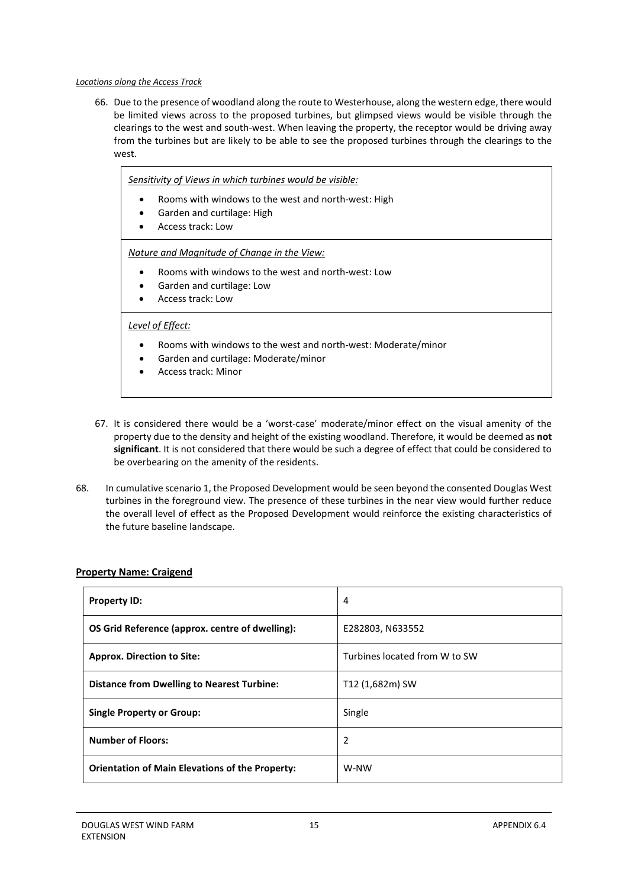#### *Locations along the Access Track*

66. Due to the presence of woodland along the route to Westerhouse, along the western edge, there would be limited views across to the proposed turbines, but glimpsed views would be visible through the clearings to the west and south-west. When leaving the property, the receptor would be driving away from the turbines but are likely to be able to see the proposed turbines through the clearings to the west.

| Sensitivity of Views in which turbines would be visible: |
|----------------------------------------------------------|
|----------------------------------------------------------|

- Rooms with windows to the west and north-west: High
- Garden and curtilage: High
- Access track: Low

*Nature and Magnitude of Change in the View:*

- Rooms with windows to the west and north-west: Low
- Garden and curtilage: Low
- Access track: Low

#### *Level of Effect:*

- Rooms with windows to the west and north-west: Moderate/minor
- Garden and curtilage: Moderate/minor
- Access track: Minor
- 67. It is considered there would be a 'worst-case' moderate/minor effect on the visual amenity of the property due to the density and height of the existing woodland. Therefore, it would be deemed as **not significant**. It is not considered that there would be such a degree of effect that could be considered to be overbearing on the amenity of the residents.
- 68. In cumulative scenario 1, the Proposed Development would be seen beyond the consented Douglas West turbines in the foreground view. The presence of these turbines in the near view would further reduce the overall level of effect as the Proposed Development would reinforce the existing characteristics of the future baseline landscape.

### **Property Name: Craigend**

| <b>Property ID:</b>                                    | 4                             |
|--------------------------------------------------------|-------------------------------|
| OS Grid Reference (approx. centre of dwelling):        | E282803, N633552              |
| <b>Approx. Direction to Site:</b>                      | Turbines located from W to SW |
| <b>Distance from Dwelling to Nearest Turbine:</b>      | T12 (1,682m) SW               |
| <b>Single Property or Group:</b>                       | Single                        |
| <b>Number of Floors:</b>                               | 2                             |
| <b>Orientation of Main Elevations of the Property:</b> | W-NW                          |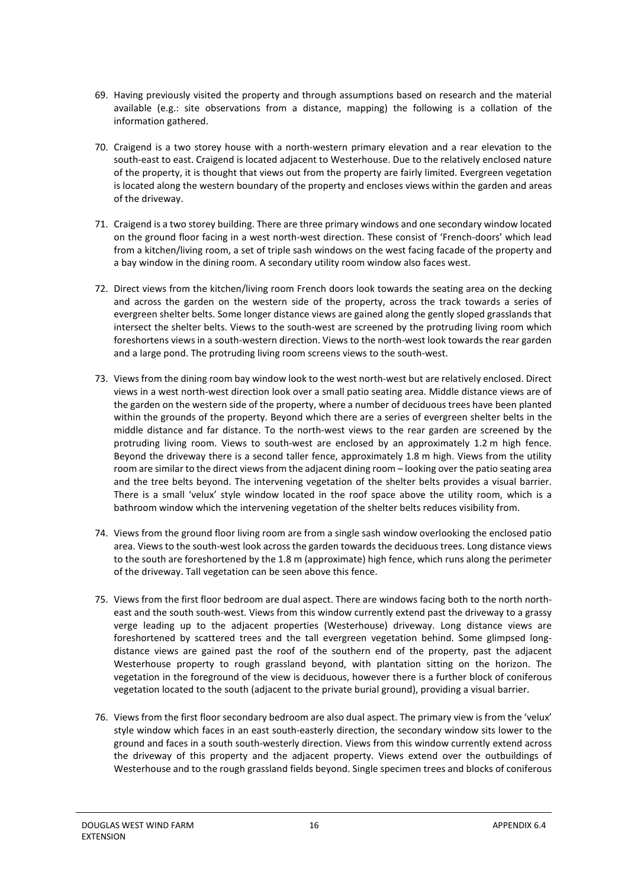- 69. Having previously visited the property and through assumptions based on research and the material available (e.g.: site observations from a distance, mapping) the following is a collation of the information gathered.
- 70. Craigend is a two storey house with a north-western primary elevation and a rear elevation to the south-east to east. Craigend is located adjacent to Westerhouse. Due to the relatively enclosed nature of the property, it is thought that views out from the property are fairly limited. Evergreen vegetation is located along the western boundary of the property and encloses views within the garden and areas of the driveway.
- 71. Craigend is a two storey building. There are three primary windows and one secondary window located on the ground floor facing in a west north-west direction. These consist of 'French-doors' which lead from a kitchen/living room, a set of triple sash windows on the west facing facade of the property and a bay window in the dining room. A secondary utility room window also faces west.
- 72. Direct views from the kitchen/living room French doors look towards the seating area on the decking and across the garden on the western side of the property, across the track towards a series of evergreen shelter belts. Some longer distance views are gained along the gently sloped grasslands that intersect the shelter belts. Views to the south-west are screened by the protruding living room which foreshortens views in a south-western direction. Views to the north-west look towards the rear garden and a large pond. The protruding living room screens views to the south-west.
- 73. Views from the dining room bay window look to the west north-west but are relatively enclosed. Direct views in a west north-west direction look over a small patio seating area. Middle distance views are of the garden on the western side of the property, where a number of deciduous trees have been planted within the grounds of the property. Beyond which there are a series of evergreen shelter belts in the middle distance and far distance. To the north-west views to the rear garden are screened by the protruding living room. Views to south-west are enclosed by an approximately 1.2 m high fence. Beyond the driveway there is a second taller fence, approximately 1.8 m high. Views from the utility room are similar to the direct views from the adjacent dining room – looking over the patio seating area and the tree belts beyond. The intervening vegetation of the shelter belts provides a visual barrier. There is a small 'velux' style window located in the roof space above the utility room, which is a bathroom window which the intervening vegetation of the shelter belts reduces visibility from.
- 74. Views from the ground floor living room are from a single sash window overlooking the enclosed patio area. Views to the south-west look across the garden towards the deciduous trees. Long distance views to the south are foreshortened by the 1.8 m (approximate) high fence, which runs along the perimeter of the driveway. Tall vegetation can be seen above this fence.
- 75. Views from the first floor bedroom are dual aspect. There are windows facing both to the north northeast and the south south-west. Views from this window currently extend past the driveway to a grassy verge leading up to the adjacent properties (Westerhouse) driveway. Long distance views are foreshortened by scattered trees and the tall evergreen vegetation behind. Some glimpsed longdistance views are gained past the roof of the southern end of the property, past the adjacent Westerhouse property to rough grassland beyond, with plantation sitting on the horizon. The vegetation in the foreground of the view is deciduous, however there is a further block of coniferous vegetation located to the south (adjacent to the private burial ground), providing a visual barrier.
- 76. Views from the first floor secondary bedroom are also dual aspect. The primary view is from the 'velux' style window which faces in an east south-easterly direction, the secondary window sits lower to the ground and faces in a south south-westerly direction. Views from this window currently extend across the driveway of this property and the adjacent property. Views extend over the outbuildings of Westerhouse and to the rough grassland fields beyond. Single specimen trees and blocks of coniferous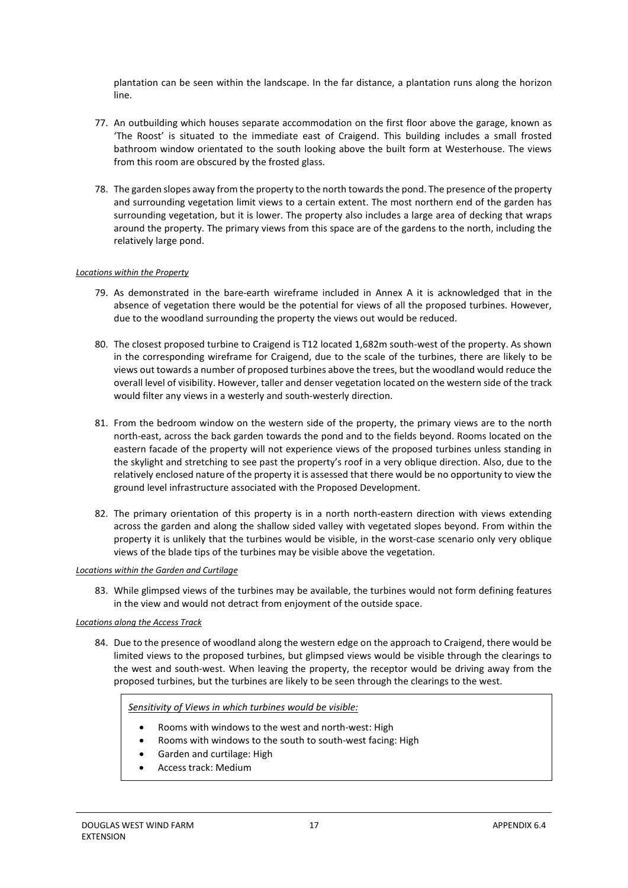plantation can be seen within the landscape. In the far distance, a plantation runs along the horizon line.

- 77. An outbuilding which houses separate accommodation on the first floor above the garage, known as 'The Roost' is situated to the immediate east of Craigend. This building includes a small frosted bathroom window orientated to the south looking above the built form at Westerhouse. The views from this room are obscured by the frosted glass.
- 78. The garden slopes away from the property to the north towards the pond. The presence of the property and surrounding vegetation limit views to a certain extent. The most northern end of the garden has surrounding vegetation, but it is lower. The property also includes a large area of decking that wraps around the property. The primary views from this space are of the gardens to the north, including the relatively large pond.

#### *Locations within the Property*

- 79. As demonstrated in the bare-earth wireframe included in Annex A it is acknowledged that in the absence of vegetation there would be the potential for views of all the proposed turbines. However, due to the woodland surrounding the property the views out would be reduced.
- 80. The closest proposed turbine to Craigend is T12 located 1,682m south-west of the property. As shown in the corresponding wireframe for Craigend, due to the scale of the turbines, there are likely to be views out towards a number of proposed turbines above the trees, but the woodland would reduce the overall level of visibility. However, taller and denser vegetation located on the western side of the track would filter any views in a westerly and south-westerly direction.
- 81. From the bedroom window on the western side of the property, the primary views are to the north north-east, across the back garden towards the pond and to the fields beyond. Rooms located on the eastern facade of the property will not experience views of the proposed turbines unless standing in the skylight and stretching to see past the property's roof in a very oblique direction. Also, due to the relatively enclosed nature of the property it is assessed that there would be no opportunity to view the ground level infrastructure associated with the Proposed Development.
- 82. The primary orientation of this property is in a north north-eastern direction with views extending across the garden and along the shallow sided valley with vegetated slopes beyond. From within the property it is unlikely that the turbines would be visible, in the worst-case scenario only very oblique views of the blade tips of the turbines may be visible above the vegetation.

#### *Locations within the Garden and Curtilage*

83. While glimpsed views of the turbines may be available, the turbines would not form defining features in the view and would not detract from enjoyment of the outside space.

#### *Locations along the Access Track*

84. Due to the presence of woodland along the western edge on the approach to Craigend, there would be limited views to the proposed turbines, but glimpsed views would be visible through the clearings to the west and south-west. When leaving the property, the receptor would be driving away from the proposed turbines, but the turbines are likely to be seen through the clearings to the west.

#### *Sensitivity of Views in which turbines would be visible:*

- Rooms with windows to the west and north-west: High
- Rooms with windows to the south to south-west facing: High
- Garden and curtilage: High
- Access track: Medium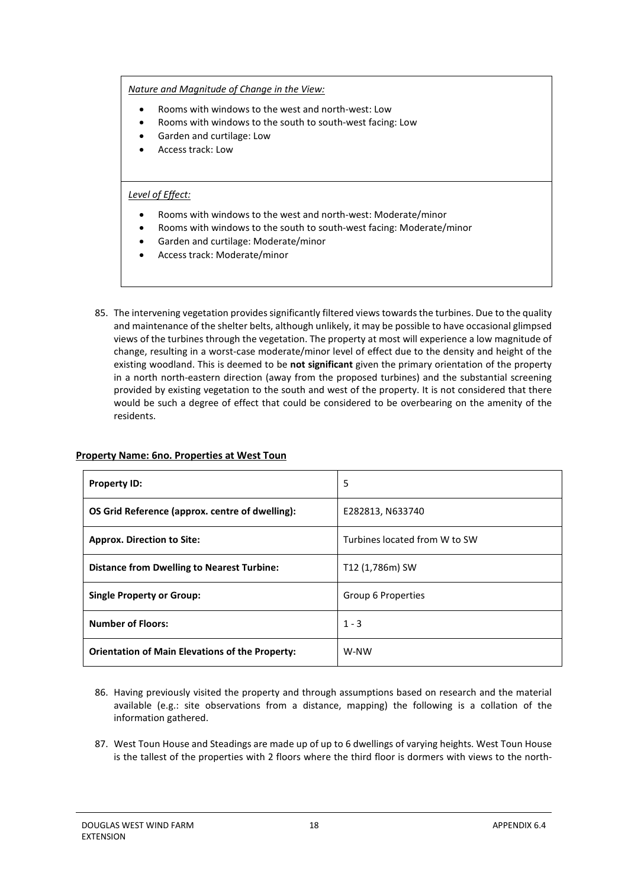### *Nature and Magnitude of Change in the View:*

- Rooms with windows to the west and north-west: Low
- Rooms with windows to the south to south-west facing: Low
- Garden and curtilage: Low
- Access track: Low

### *Level of Effect:*

- Rooms with windows to the west and north-west: Moderate/minor
- Rooms with windows to the south to south-west facing: Moderate/minor
- Garden and curtilage: Moderate/minor
- Access track: Moderate/minor
- 85. The intervening vegetation provides significantly filtered views towards the turbines. Due to the quality and maintenance of the shelter belts, although unlikely, it may be possible to have occasional glimpsed views of the turbines through the vegetation. The property at most will experience a low magnitude of change, resulting in a worst-case moderate/minor level of effect due to the density and height of the existing woodland. This is deemed to be **not significant** given the primary orientation of the property in a north north-eastern direction (away from the proposed turbines) and the substantial screening provided by existing vegetation to the south and west of the property. It is not considered that there would be such a degree of effect that could be considered to be overbearing on the amenity of the residents.

| <b>Property ID:</b>                                    | 5                             |
|--------------------------------------------------------|-------------------------------|
| OS Grid Reference (approx. centre of dwelling):        | E282813, N633740              |
| <b>Approx. Direction to Site:</b>                      | Turbines located from W to SW |
| <b>Distance from Dwelling to Nearest Turbine:</b>      | T12 (1,786m) SW               |
| <b>Single Property or Group:</b>                       | Group 6 Properties            |
| <b>Number of Floors:</b>                               | $1 - 3$                       |
| <b>Orientation of Main Elevations of the Property:</b> | W-NW                          |

#### **Property Name: 6no. Properties at West Toun**

- 86. Having previously visited the property and through assumptions based on research and the material available (e.g.: site observations from a distance, mapping) the following is a collation of the information gathered.
- 87. West Toun House and Steadings are made up of up to 6 dwellings of varying heights. West Toun House is the tallest of the properties with 2 floors where the third floor is dormers with views to the north-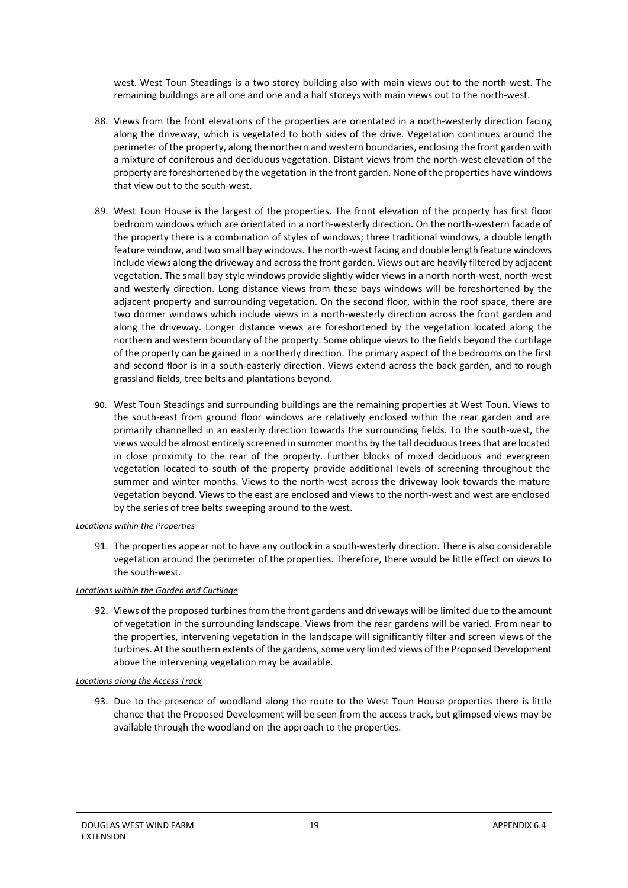west. West Toun Steadings is a two storey building also with main views out to the north-west. The remaining buildings are all one and one and a half storeys with main views out to the north-west.

- 88. Views from the front elevations of the properties are orientated in a north-westerly direction facing along the driveway, which is vegetated to both sides of the drive. Vegetation continues around the perimeter of the property, along the northern and western boundaries, enclosing the front garden with a mixture of coniferous and deciduous vegetation. Distant views from the north-west elevation of the property are foreshortened by the vegetation in the front garden. None of the properties have windows that view out to the south-west.
- 89. West Toun House is the largest of the properties. The front elevation of the property has first floor bedroom windows which are orientated in a north-westerly direction. On the north-western facade of the property there is a combination of styles of windows; three traditional windows, a double length feature window, and two small bay windows. The north-west facing and double length feature windows include views along the driveway and acrossthe front garden. Views out are heavily filtered by adjacent vegetation. The small bay style windows provide slightly wider views in a north north-west, north-west and westerly direction. Long distance views from these bays windows will be foreshortened by the adjacent property and surrounding vegetation. On the second floor, within the roof space, there are two dormer windows which include views in a north-westerly direction across the front garden and along the driveway. Longer distance views are foreshortened by the vegetation located along the northern and western boundary of the property. Some oblique views to the fields beyond the curtilage of the property can be gained in a northerly direction. The primary aspect of the bedrooms on the first and second floor is in a south-easterly direction. Views extend across the back garden, and to rough grassland fields, tree belts and plantations beyond.
- 90. West Toun Steadings and surrounding buildings are the remaining properties at West Toun. Views to the south-east from ground floor windows are relatively enclosed within the rear garden and are primarily channelled in an easterly direction towards the surrounding fields. To the south-west, the views would be almost entirely screened in summer months by the tall deciduous trees that are located in close proximity to the rear of the property. Further blocks of mixed deciduous and evergreen vegetation located to south of the property provide additional levels of screening throughout the summer and winter months. Views to the north-west across the driveway look towards the mature vegetation beyond. Views to the east are enclosed and views to the north-west and west are enclosed by the series of tree belts sweeping around to the west.

#### *Locations within the Properties*

91. The properties appear not to have any outlook in a south-westerly direction. There is also considerable vegetation around the perimeter of the properties. Therefore, there would be little effect on views to the south-west.

#### *Locations within the Garden and Curtilage*

92. Views of the proposed turbines from the front gardens and driveways will be limited due to the amount of vegetation in the surrounding landscape. Views from the rear gardens will be varied. From near to the properties, intervening vegetation in the landscape will significantly filter and screen views of the turbines. At the southern extents of the gardens, some very limited views of the Proposed Development above the intervening vegetation may be available.

#### *Locations along the Access Track*

93. Due to the presence of woodland along the route to the West Toun House properties there is little chance that the Proposed Development will be seen from the access track, but glimpsed views may be available through the woodland on the approach to the properties.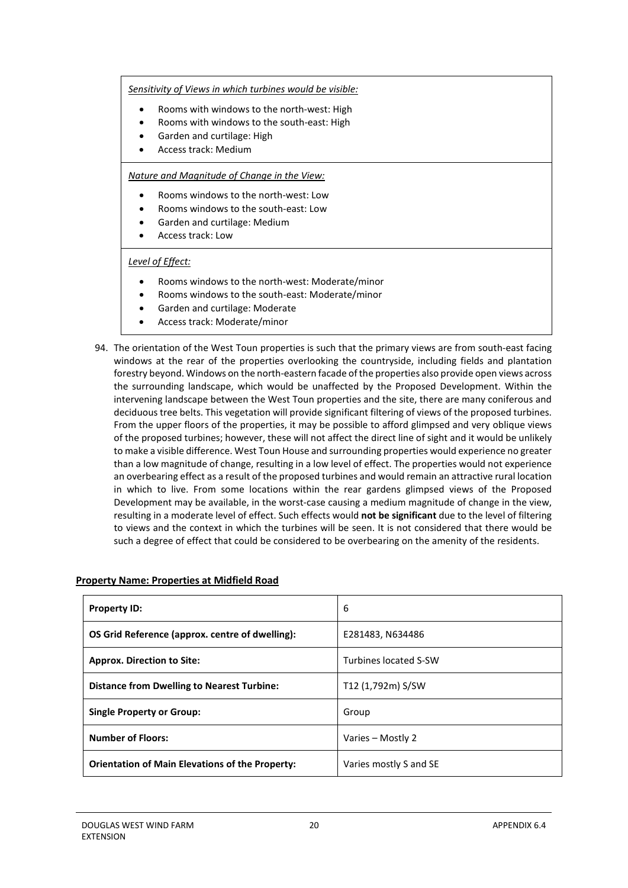*Sensitivity of Views in which turbines would be visible:*

- Rooms with windows to the north-west: High
- Rooms with windows to the south-east: High
- Garden and curtilage: High
- Access track: Medium

*Nature and Magnitude of Change in the View:*

- Rooms windows to the north-west: Low
- Rooms windows to the south-east: Low
- Garden and curtilage: Medium
- Access track: Low

#### *Level of Effect:*

- Rooms windows to the north-west: Moderate/minor
- Rooms windows to the south-east: Moderate/minor
- Garden and curtilage: Moderate
- Access track: Moderate/minor
- 94. The orientation of the West Toun properties is such that the primary views are from south-east facing windows at the rear of the properties overlooking the countryside, including fields and plantation forestry beyond. Windows on the north-eastern facade of the properties also provide open views across the surrounding landscape, which would be unaffected by the Proposed Development. Within the intervening landscape between the West Toun properties and the site, there are many coniferous and deciduous tree belts. This vegetation will provide significant filtering of views of the proposed turbines. From the upper floors of the properties, it may be possible to afford glimpsed and very oblique views of the proposed turbines; however, these will not affect the direct line of sight and it would be unlikely to make a visible difference. West Toun House and surrounding properties would experience no greater than a low magnitude of change, resulting in a low level of effect. The properties would not experience an overbearing effect as a result of the proposed turbines and would remain an attractive rural location in which to live. From some locations within the rear gardens glimpsed views of the Proposed Development may be available, in the worst-case causing a medium magnitude of change in the view, resulting in a moderate level of effect. Such effects would **not be significant** due to the level of filtering to views and the context in which the turbines will be seen. It is not considered that there would be such a degree of effect that could be considered to be overbearing on the amenity of the residents.

| <b>Property ID:</b>                                    | 6                      |
|--------------------------------------------------------|------------------------|
| OS Grid Reference (approx. centre of dwelling):        | E281483, N634486       |
| <b>Approx. Direction to Site:</b>                      | Turbines located S-SW  |
| <b>Distance from Dwelling to Nearest Turbine:</b>      | T12 (1,792m) S/SW      |
| <b>Single Property or Group:</b>                       | Group                  |
| <b>Number of Floors:</b>                               | Varies – Mostly 2      |
| <b>Orientation of Main Elevations of the Property:</b> | Varies mostly S and SE |

### **Property Name: Properties at Midfield Road**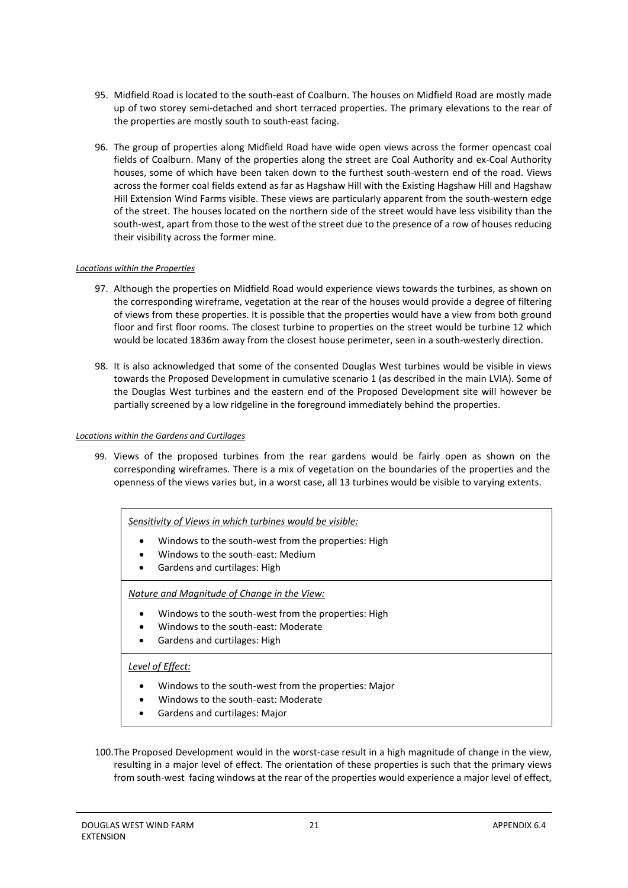- 95. Midfield Road is located to the south-east of Coalburn. The houses on Midfield Road are mostly made up of two storey semi-detached and short terraced properties. The primary elevations to the rear of the properties are mostly south to south-east facing.
- 96. The group of properties along Midfield Road have wide open views across the former opencast coal fields of Coalburn. Many of the properties along the street are Coal Authority and ex-Coal Authority houses, some of which have been taken down to the furthest south-western end of the road. Views across the former coal fields extend as far as Hagshaw Hill with the Existing Hagshaw Hill and Hagshaw Hill Extension Wind Farms visible. These views are particularly apparent from the south-western edge of the street. The houses located on the northern side of the street would have less visibility than the south-west, apart from those to the west of the street due to the presence of a row of houses reducing their visibility across the former mine.

#### *Locations within the Properties*

- 97. Although the properties on Midfield Road would experience views towards the turbines, as shown on the corresponding wireframe, vegetation at the rear of the houses would provide a degree of filtering of views from these properties. It is possible that the properties would have a view from both ground floor and first floor rooms. The closest turbine to properties on the street would be turbine 12 which would be located 1836m away from the closest house perimeter, seen in a south-westerly direction.
- 98. It is also acknowledged that some of the consented Douglas West turbines would be visible in views towards the Proposed Development in cumulative scenario 1 (as described in the main LVIA). Some of the Douglas West turbines and the eastern end of the Proposed Development site will however be partially screened by a low ridgeline in the foreground immediately behind the properties.

#### *Locations within the Gardens and Curtilages*

99. Views of the proposed turbines from the rear gardens would be fairly open as shown on the corresponding wireframes. There is a mix of vegetation on the boundaries of the properties and the openness of the views varies but, in a worst case, all 13 turbines would be visible to varying extents.

*Sensitivity of Views in which turbines would be visible:*

- Windows to the south-west from the properties: High
- Windows to the south-east: Medium
- Gardens and curtilages: High

*Nature and Magnitude of Change in the View:*

- Windows to the south-west from the properties: High
- Windows to the south-east: Moderate
- Gardens and curtilages: High

### *Level of Effect:*

- Windows to the south-west from the properties: Major
- Windows to the south-east: Moderate
- Gardens and curtilages: Major

100.The Proposed Development would in the worst-case result in a high magnitude of change in the view, resulting in a major level of effect. The orientation of these properties is such that the primary views from south-west facing windows at the rear of the properties would experience a major level of effect,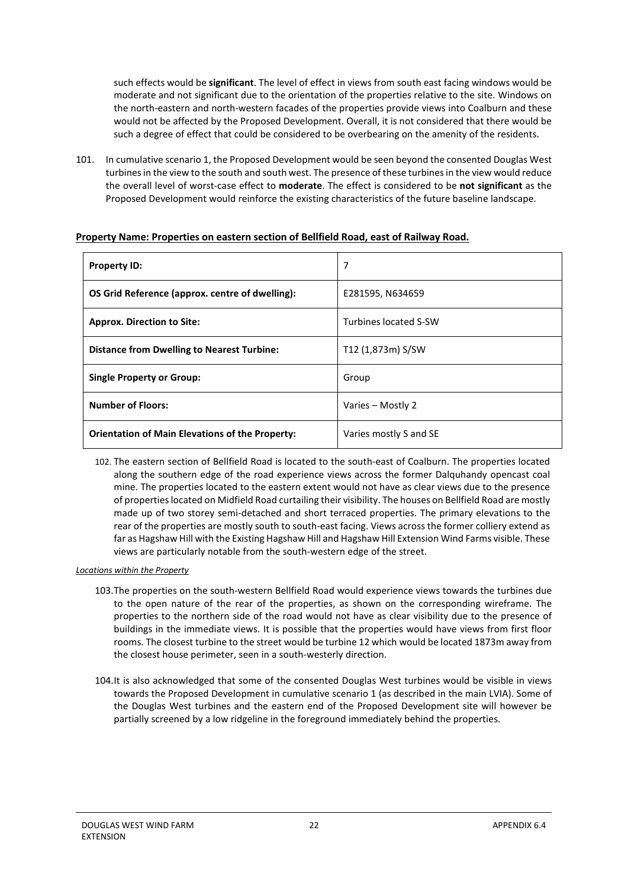such effects would be **significant**. The level of effect in views from south east facing windows would be moderate and not significant due to the orientation of the properties relative to the site. Windows on the north-eastern and north-western facades of the properties provide views into Coalburn and these would not be affected by the Proposed Development. Overall, it is not considered that there would be such a degree of effect that could be considered to be overbearing on the amenity of the residents.

101. In cumulative scenario 1, the Proposed Development would be seen beyond the consented Douglas West turbines in the view to the south and south west. The presence of these turbines in the view would reduce the overall level of worst-case effect to **moderate**. The effect is considered to be **not significant** as the Proposed Development would reinforce the existing characteristics of the future baseline landscape.

| <b>Property ID:</b>                                    | 7                      |
|--------------------------------------------------------|------------------------|
| OS Grid Reference (approx. centre of dwelling):        | E281595, N634659       |
| <b>Approx. Direction to Site:</b>                      | Turbines located S-SW  |
| <b>Distance from Dwelling to Nearest Turbine:</b>      | T12 (1,873m) S/SW      |
| <b>Single Property or Group:</b>                       | Group                  |
| <b>Number of Floors:</b>                               | Varies - Mostly 2      |
| <b>Orientation of Main Elevations of the Property:</b> | Varies mostly S and SE |

### **Property Name: Properties on eastern section of Bellfield Road, east of Railway Road.**

102. The eastern section of Bellfield Road is located to the south-east of Coalburn. The properties located along the southern edge of the road experience views across the former Dalquhandy opencast coal mine. The properties located to the eastern extent would not have as clear views due to the presence of properties located on Midfield Road curtailing their visibility. The houses on Bellfield Road are mostly made up of two storey semi-detached and short terraced properties. The primary elevations to the rear of the properties are mostly south to south-east facing. Views across the former colliery extend as far as Hagshaw Hill with the Existing Hagshaw Hill and Hagshaw Hill Extension Wind Farms visible. These views are particularly notable from the south-western edge of the street.

### *Locations within the Property*

- 103.The properties on the south-western Bellfield Road would experience views towards the turbines due to the open nature of the rear of the properties, as shown on the corresponding wireframe. The properties to the northern side of the road would not have as clear visibility due to the presence of buildings in the immediate views. It is possible that the properties would have views from first floor rooms. The closest turbine to the street would be turbine 12 which would be located 1873m away from the closest house perimeter, seen in a south-westerly direction.
- 104.It is also acknowledged that some of the consented Douglas West turbines would be visible in views towards the Proposed Development in cumulative scenario 1 (as described in the main LVIA). Some of the Douglas West turbines and the eastern end of the Proposed Development site will however be partially screened by a low ridgeline in the foreground immediately behind the properties.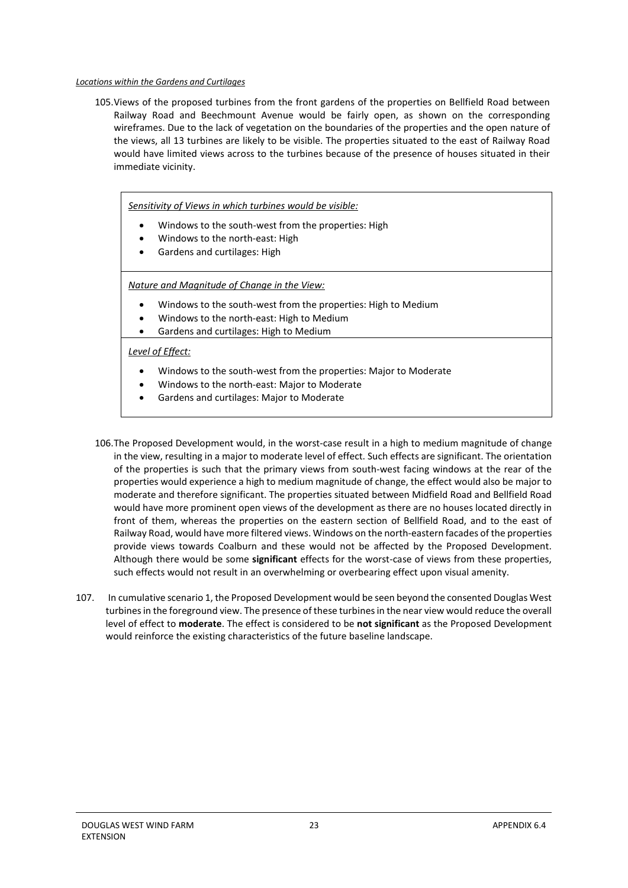#### *Locations within the Gardens and Curtilages*

105.Views of the proposed turbines from the front gardens of the properties on Bellfield Road between Railway Road and Beechmount Avenue would be fairly open, as shown on the corresponding wireframes. Due to the lack of vegetation on the boundaries of the properties and the open nature of the views, all 13 turbines are likely to be visible. The properties situated to the east of Railway Road would have limited views across to the turbines because of the presence of houses situated in their immediate vicinity.

| Sensitivity of Views in which turbines would be visible: |
|----------------------------------------------------------|
|----------------------------------------------------------|

- Windows to the south-west from the properties: High
- Windows to the north-east: High
- Gardens and curtilages: High

*Nature and Magnitude of Change in the View:*

- Windows to the south-west from the properties: High to Medium
- Windows to the north-east: High to Medium
- Gardens and curtilages: High to Medium

#### *Level of Effect:*

- Windows to the south-west from the properties: Major to Moderate
- Windows to the north-east: Major to Moderate
- Gardens and curtilages: Major to Moderate
- 106.The Proposed Development would, in the worst-case result in a high to medium magnitude of change in the view, resulting in a major to moderate level of effect. Such effects are significant. The orientation of the properties is such that the primary views from south-west facing windows at the rear of the properties would experience a high to medium magnitude of change, the effect would also be major to moderate and therefore significant. The properties situated between Midfield Road and Bellfield Road would have more prominent open views of the development as there are no houses located directly in front of them, whereas the properties on the eastern section of Bellfield Road, and to the east of Railway Road, would have more filtered views. Windows on the north-eastern facades of the properties provide views towards Coalburn and these would not be affected by the Proposed Development. Although there would be some **significant** effects for the worst-case of views from these properties, such effects would not result in an overwhelming or overbearing effect upon visual amenity.
- 107. In cumulative scenario 1, the Proposed Development would be seen beyond the consented Douglas West turbines in the foreground view. The presence of these turbines in the near view would reduce the overall level of effect to **moderate**. The effect is considered to be **not significant** as the Proposed Development would reinforce the existing characteristics of the future baseline landscape.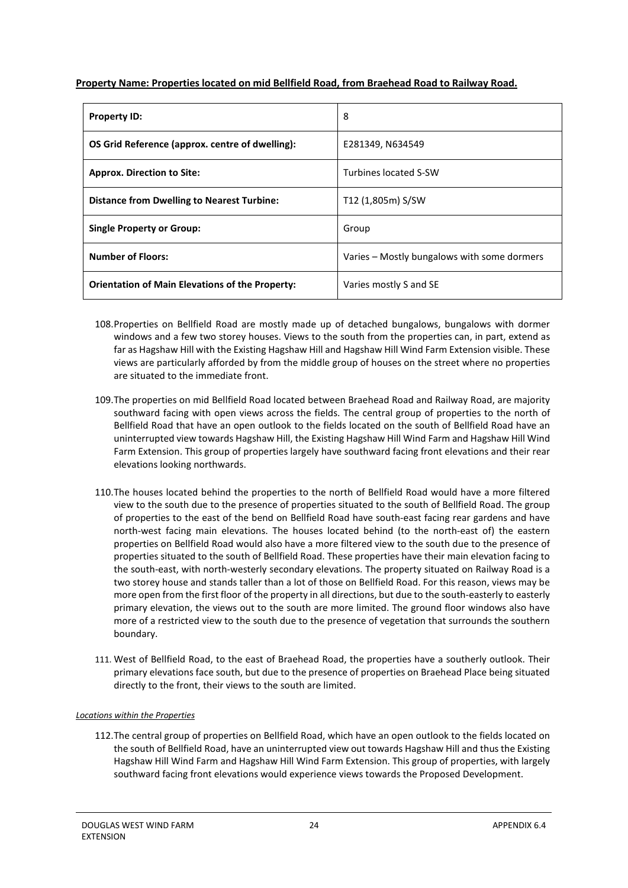### **Property Name: Properties located on mid Bellfield Road, from Braehead Road to Railway Road.**

| <b>Property ID:</b>                                    | 8                                           |
|--------------------------------------------------------|---------------------------------------------|
| OS Grid Reference (approx. centre of dwelling):        | E281349, N634549                            |
| <b>Approx. Direction to Site:</b>                      | Turbines located S-SW                       |
| <b>Distance from Dwelling to Nearest Turbine:</b>      | T12 (1,805m) S/SW                           |
| <b>Single Property or Group:</b>                       | Group                                       |
| <b>Number of Floors:</b>                               | Varies - Mostly bungalows with some dormers |
| <b>Orientation of Main Elevations of the Property:</b> | Varies mostly S and SE                      |

- 108.Properties on Bellfield Road are mostly made up of detached bungalows, bungalows with dormer windows and a few two storey houses. Views to the south from the properties can, in part, extend as far as Hagshaw Hill with the Existing Hagshaw Hill and Hagshaw Hill Wind Farm Extension visible. These views are particularly afforded by from the middle group of houses on the street where no properties are situated to the immediate front.
- 109.The properties on mid Bellfield Road located between Braehead Road and Railway Road, are majority southward facing with open views across the fields. The central group of properties to the north of Bellfield Road that have an open outlook to the fields located on the south of Bellfield Road have an uninterrupted view towards Hagshaw Hill, the Existing Hagshaw Hill Wind Farm and Hagshaw Hill Wind Farm Extension. This group of properties largely have southward facing front elevations and their rear elevations looking northwards.
- 110.The houses located behind the properties to the north of Bellfield Road would have a more filtered view to the south due to the presence of properties situated to the south of Bellfield Road. The group of properties to the east of the bend on Bellfield Road have south-east facing rear gardens and have north-west facing main elevations. The houses located behind (to the north-east of) the eastern properties on Bellfield Road would also have a more filtered view to the south due to the presence of properties situated to the south of Bellfield Road. These properties have their main elevation facing to the south-east, with north-westerly secondary elevations. The property situated on Railway Road is a two storey house and stands taller than a lot of those on Bellfield Road. For this reason, views may be more open from the first floor of the property in all directions, but due to the south-easterly to easterly primary elevation, the views out to the south are more limited. The ground floor windows also have more of a restricted view to the south due to the presence of vegetation that surrounds the southern boundary.
- 111. West of Bellfield Road, to the east of Braehead Road, the properties have a southerly outlook. Their primary elevations face south, but due to the presence of properties on Braehead Place being situated directly to the front, their views to the south are limited.

### *Locations within the Properties*

112.The central group of properties on Bellfield Road, which have an open outlook to the fields located on the south of Bellfield Road, have an uninterrupted view out towards Hagshaw Hill and thus the Existing Hagshaw Hill Wind Farm and Hagshaw Hill Wind Farm Extension. This group of properties, with largely southward facing front elevations would experience views towards the Proposed Development.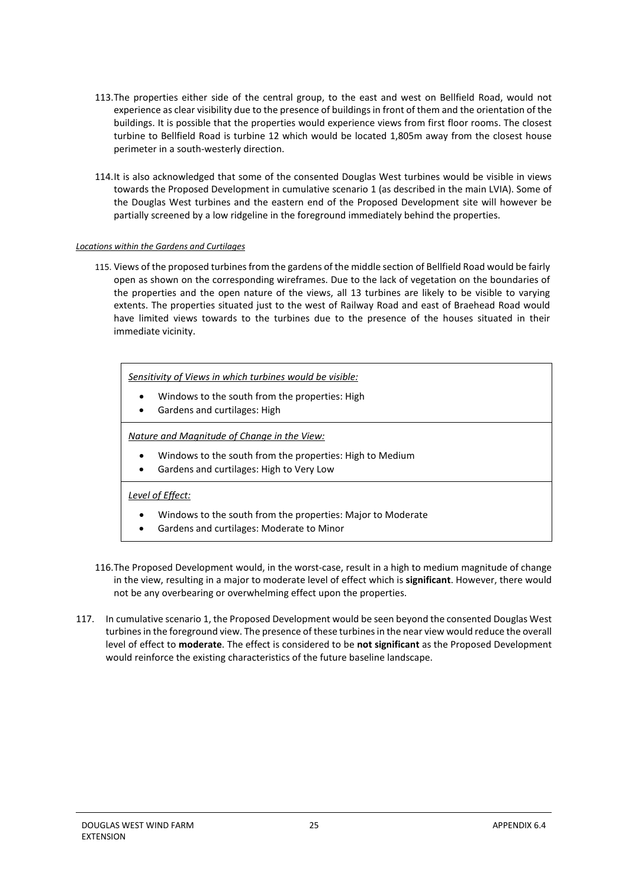- 113.The properties either side of the central group, to the east and west on Bellfield Road, would not experience as clear visibility due to the presence of buildings in front of them and the orientation of the buildings. It is possible that the properties would experience views from first floor rooms. The closest turbine to Bellfield Road is turbine 12 which would be located 1,805m away from the closest house perimeter in a south-westerly direction.
- 114.It is also acknowledged that some of the consented Douglas West turbines would be visible in views towards the Proposed Development in cumulative scenario 1 (as described in the main LVIA). Some of the Douglas West turbines and the eastern end of the Proposed Development site will however be partially screened by a low ridgeline in the foreground immediately behind the properties.

#### *Locations within the Gardens and Curtilages*

115. Views of the proposed turbines from the gardens of the middle section of Bellfield Road would be fairly open as shown on the corresponding wireframes. Due to the lack of vegetation on the boundaries of the properties and the open nature of the views, all 13 turbines are likely to be visible to varying extents. The properties situated just to the west of Railway Road and east of Braehead Road would have limited views towards to the turbines due to the presence of the houses situated in their immediate vicinity.

*Sensitivity of Views in which turbines would be visible:*

- Windows to the south from the properties: High
- Gardens and curtilages: High

*Nature and Magnitude of Change in the View:*

- Windows to the south from the properties: High to Medium
- Gardens and curtilages: High to Very Low

*Level of Effect:*

- Windows to the south from the properties: Major to Moderate
- Gardens and curtilages: Moderate to Minor
- 116.The Proposed Development would, in the worst-case, result in a high to medium magnitude of change in the view, resulting in a major to moderate level of effect which is **significant**. However, there would not be any overbearing or overwhelming effect upon the properties.
- 117. In cumulative scenario 1, the Proposed Development would be seen beyond the consented Douglas West turbines in the foreground view. The presence of these turbines in the near view would reduce the overall level of effect to **moderate**. The effect is considered to be **not significant** as the Proposed Development would reinforce the existing characteristics of the future baseline landscape.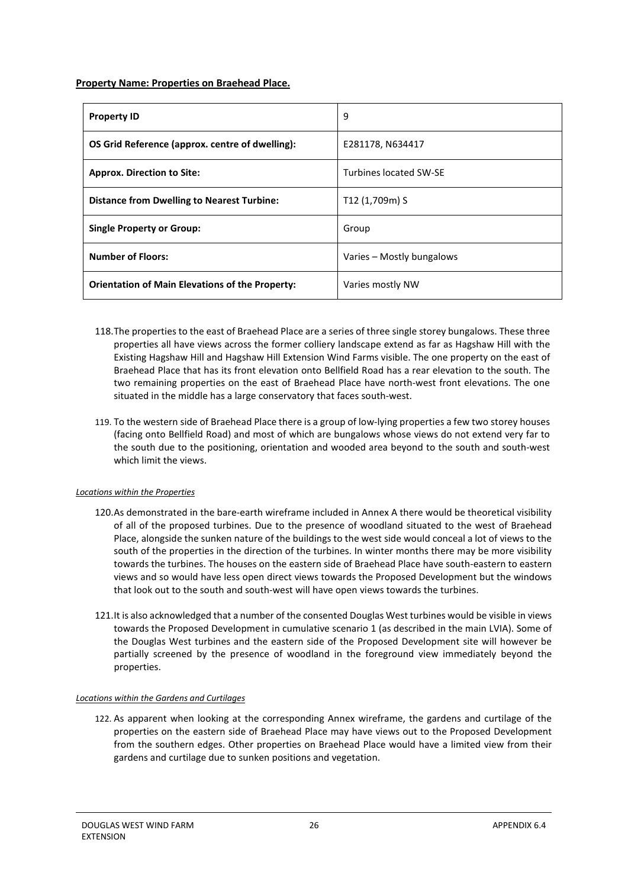### **Property Name: Properties on Braehead Place.**

| <b>Property ID</b>                                     | 9                         |  |
|--------------------------------------------------------|---------------------------|--|
| OS Grid Reference (approx. centre of dwelling):        | E281178, N634417          |  |
| <b>Approx. Direction to Site:</b>                      | Turbines located SW-SE    |  |
| <b>Distance from Dwelling to Nearest Turbine:</b>      | T12 (1,709m) S            |  |
| <b>Single Property or Group:</b>                       | Group                     |  |
| <b>Number of Floors:</b>                               | Varies - Mostly bungalows |  |
| <b>Orientation of Main Elevations of the Property:</b> | Varies mostly NW          |  |

- 118.The properties to the east of Braehead Place are a series of three single storey bungalows. These three properties all have views across the former colliery landscape extend as far as Hagshaw Hill with the Existing Hagshaw Hill and Hagshaw Hill Extension Wind Farms visible. The one property on the east of Braehead Place that has its front elevation onto Bellfield Road has a rear elevation to the south. The two remaining properties on the east of Braehead Place have north-west front elevations. The one situated in the middle has a large conservatory that faces south-west.
- 119. To the western side of Braehead Place there is a group of low-lying properties a few two storey houses (facing onto Bellfield Road) and most of which are bungalows whose views do not extend very far to the south due to the positioning, orientation and wooded area beyond to the south and south-west which limit the views.

### *Locations within the Properties*

- 120.As demonstrated in the bare-earth wireframe included in Annex A there would be theoretical visibility of all of the proposed turbines. Due to the presence of woodland situated to the west of Braehead Place, alongside the sunken nature of the buildings to the west side would conceal a lot of views to the south of the properties in the direction of the turbines. In winter months there may be more visibility towards the turbines. The houses on the eastern side of Braehead Place have south-eastern to eastern views and so would have less open direct views towards the Proposed Development but the windows that look out to the south and south-west will have open views towards the turbines.
- 121.It is also acknowledged that a number of the consented Douglas West turbines would be visible in views towards the Proposed Development in cumulative scenario 1 (as described in the main LVIA). Some of the Douglas West turbines and the eastern side of the Proposed Development site will however be partially screened by the presence of woodland in the foreground view immediately beyond the properties.

### *Locations within the Gardens and Curtilages*

122. As apparent when looking at the corresponding Annex wireframe, the gardens and curtilage of the properties on the eastern side of Braehead Place may have views out to the Proposed Development from the southern edges. Other properties on Braehead Place would have a limited view from their gardens and curtilage due to sunken positions and vegetation.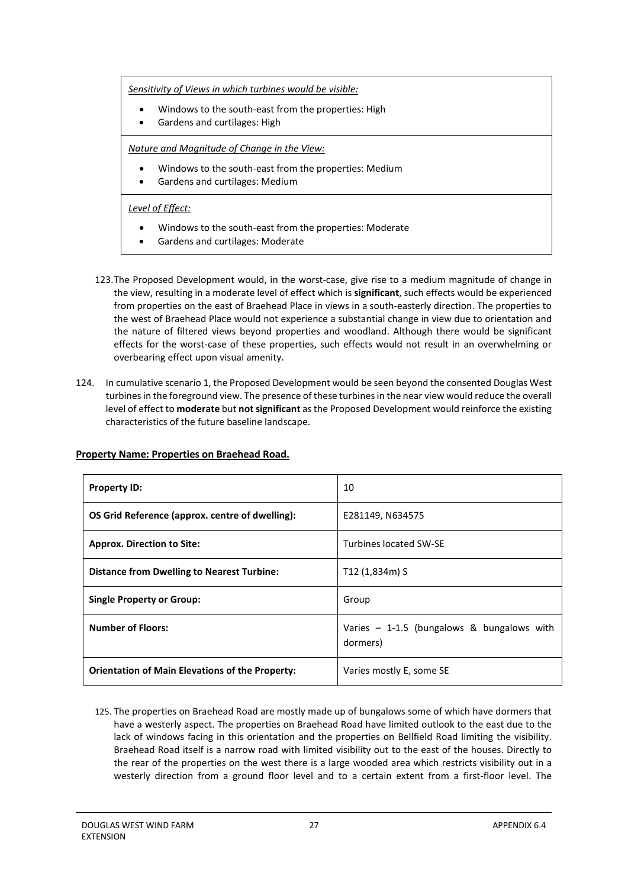*Sensitivity of Views in which turbines would be visible:*

- Windows to the south-east from the properties: High
- Gardens and curtilages: High

*Nature and Magnitude of Change in the View:*

- Windows to the south-east from the properties: Medium
- Gardens and curtilages: Medium

### *Level of Effect:*

- Windows to the south-east from the properties: Moderate
- Gardens and curtilages: Moderate
- 123.The Proposed Development would, in the worst-case, give rise to a medium magnitude of change in the view, resulting in a moderate level of effect which is **significant**, such effects would be experienced from properties on the east of Braehead Place in views in a south-easterly direction. The properties to the west of Braehead Place would not experience a substantial change in view due to orientation and the nature of filtered views beyond properties and woodland. Although there would be significant effects for the worst-case of these properties, such effects would not result in an overwhelming or overbearing effect upon visual amenity.
- 124. In cumulative scenario 1, the Proposed Development would be seen beyond the consented Douglas West turbines in the foreground view. The presence of these turbines in the near view would reduce the overall level of effect to **moderate** but **not significant** as the Proposed Development would reinforce the existing characteristics of the future baseline landscape.

| <b>Property ID:</b>                                    | 10                                                       |  |  |
|--------------------------------------------------------|----------------------------------------------------------|--|--|
| OS Grid Reference (approx. centre of dwelling):        | E281149, N634575                                         |  |  |
| <b>Approx. Direction to Site:</b>                      | Turbines located SW-SE                                   |  |  |
| <b>Distance from Dwelling to Nearest Turbine:</b>      | T12 (1,834m) S                                           |  |  |
| <b>Single Property or Group:</b>                       | Group                                                    |  |  |
| <b>Number of Floors:</b>                               | Varies $-$ 1-1.5 (bungalows & bungalows with<br>dormers) |  |  |
| <b>Orientation of Main Elevations of the Property:</b> | Varies mostly E, some SE                                 |  |  |

# **Property Name: Properties on Braehead Road.**

125. The properties on Braehead Road are mostly made up of bungalows some of which have dormers that have a westerly aspect. The properties on Braehead Road have limited outlook to the east due to the lack of windows facing in this orientation and the properties on Bellfield Road limiting the visibility. Braehead Road itself is a narrow road with limited visibility out to the east of the houses. Directly to the rear of the properties on the west there is a large wooded area which restricts visibility out in a westerly direction from a ground floor level and to a certain extent from a first-floor level. The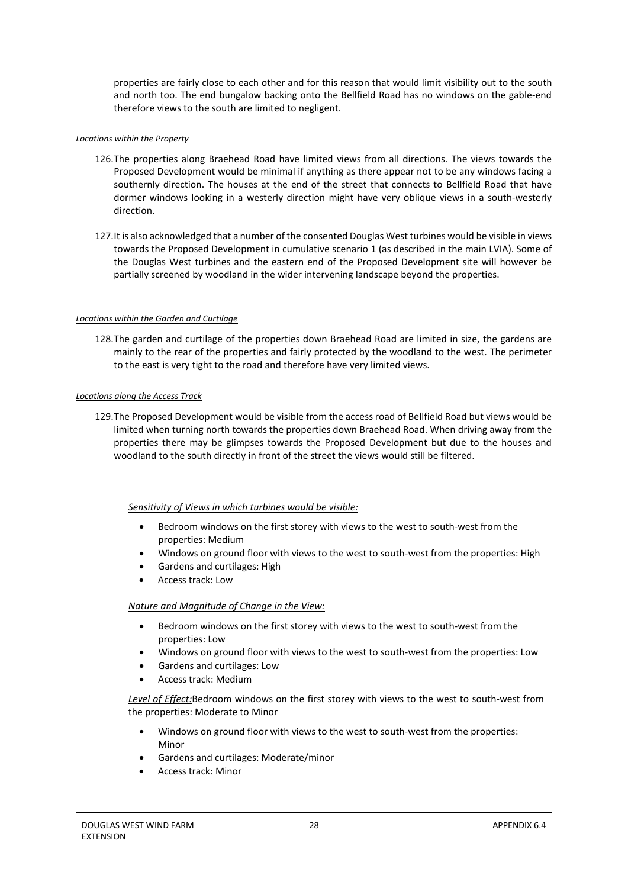properties are fairly close to each other and for this reason that would limit visibility out to the south and north too. The end bungalow backing onto the Bellfield Road has no windows on the gable-end therefore views to the south are limited to negligent.

#### *Locations within the Property*

- 126.The properties along Braehead Road have limited views from all directions. The views towards the Proposed Development would be minimal if anything as there appear not to be any windows facing a southernly direction. The houses at the end of the street that connects to Bellfield Road that have dormer windows looking in a westerly direction might have very oblique views in a south-westerly direction.
- 127.It is also acknowledged that a number of the consented Douglas West turbines would be visible in views towards the Proposed Development in cumulative scenario 1 (as described in the main LVIA). Some of the Douglas West turbines and the eastern end of the Proposed Development site will however be partially screened by woodland in the wider intervening landscape beyond the properties.

#### *Locations within the Garden and Curtilage*

128.The garden and curtilage of the properties down Braehead Road are limited in size, the gardens are mainly to the rear of the properties and fairly protected by the woodland to the west. The perimeter to the east is very tight to the road and therefore have very limited views.

#### *Locations along the Access Track*

129.The Proposed Development would be visible from the access road of Bellfield Road but views would be limited when turning north towards the properties down Braehead Road. When driving away from the properties there may be glimpses towards the Proposed Development but due to the houses and woodland to the south directly in front of the street the views would still be filtered.

### *Sensitivity of Views in which turbines would be visible:*

- Bedroom windows on the first storey with views to the west to south-west from the properties: Medium
- Windows on ground floor with views to the west to south-west from the properties: High
- Gardens and curtilages: High
- Access track: Low

### *Nature and Magnitude of Change in the View:*

- Bedroom windows on the first storey with views to the west to south-west from the properties: Low
- Windows on ground floor with views to the west to south-west from the properties: Low
- Gardens and curtilages: Low
- Access track: Medium

*Level of Effect:*Bedroom windows on the first storey with views to the west to south-west from the properties: Moderate to Minor

- Windows on ground floor with views to the west to south-west from the properties: Minor
- Gardens and curtilages: Moderate/minor
- Access track: Minor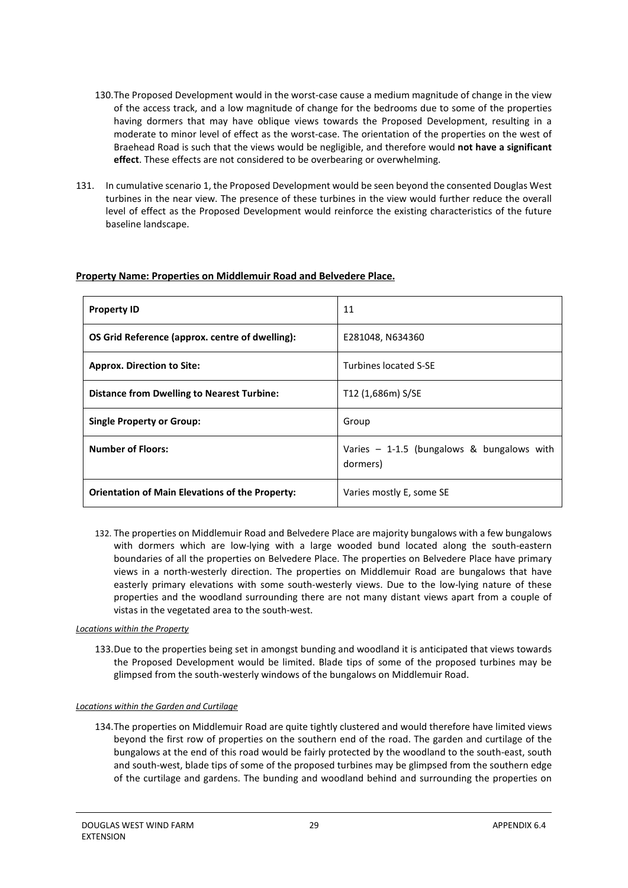- 130.The Proposed Development would in the worst-case cause a medium magnitude of change in the view of the access track, and a low magnitude of change for the bedrooms due to some of the properties having dormers that may have oblique views towards the Proposed Development, resulting in a moderate to minor level of effect as the worst-case. The orientation of the properties on the west of Braehead Road is such that the views would be negligible, and therefore would **not have a significant effect**. These effects are not considered to be overbearing or overwhelming.
- 131. In cumulative scenario 1, the Proposed Development would be seen beyond the consented Douglas West turbines in the near view. The presence of these turbines in the view would further reduce the overall level of effect as the Proposed Development would reinforce the existing characteristics of the future baseline landscape.

# **Property Name: Properties on Middlemuir Road and Belvedere Place.**

| <b>Property ID</b>                                     | 11                                                       |  |  |
|--------------------------------------------------------|----------------------------------------------------------|--|--|
| OS Grid Reference (approx. centre of dwelling):        | E281048, N634360                                         |  |  |
| <b>Approx. Direction to Site:</b>                      | Turbines located S-SE                                    |  |  |
| <b>Distance from Dwelling to Nearest Turbine:</b>      | T12 (1,686m) S/SE                                        |  |  |
| <b>Single Property or Group:</b>                       | Group                                                    |  |  |
| <b>Number of Floors:</b>                               | Varies $-$ 1-1.5 (bungalows & bungalows with<br>dormers) |  |  |
| <b>Orientation of Main Elevations of the Property:</b> | Varies mostly E, some SE                                 |  |  |

132. The properties on Middlemuir Road and Belvedere Place are majority bungalows with a few bungalows with dormers which are low-lying with a large wooded bund located along the south-eastern boundaries of all the properties on Belvedere Place. The properties on Belvedere Place have primary views in a north-westerly direction. The properties on Middlemuir Road are bungalows that have easterly primary elevations with some south-westerly views. Due to the low-lying nature of these properties and the woodland surrounding there are not many distant views apart from a couple of vistas in the vegetated area to the south-west.

#### *Locations within the Property*

133.Due to the properties being set in amongst bunding and woodland it is anticipated that views towards the Proposed Development would be limited. Blade tips of some of the proposed turbines may be glimpsed from the south-westerly windows of the bungalows on Middlemuir Road.

#### *Locations within the Garden and Curtilage*

134.The properties on Middlemuir Road are quite tightly clustered and would therefore have limited views beyond the first row of properties on the southern end of the road. The garden and curtilage of the bungalows at the end of this road would be fairly protected by the woodland to the south-east, south and south-west, blade tips of some of the proposed turbines may be glimpsed from the southern edge of the curtilage and gardens. The bunding and woodland behind and surrounding the properties on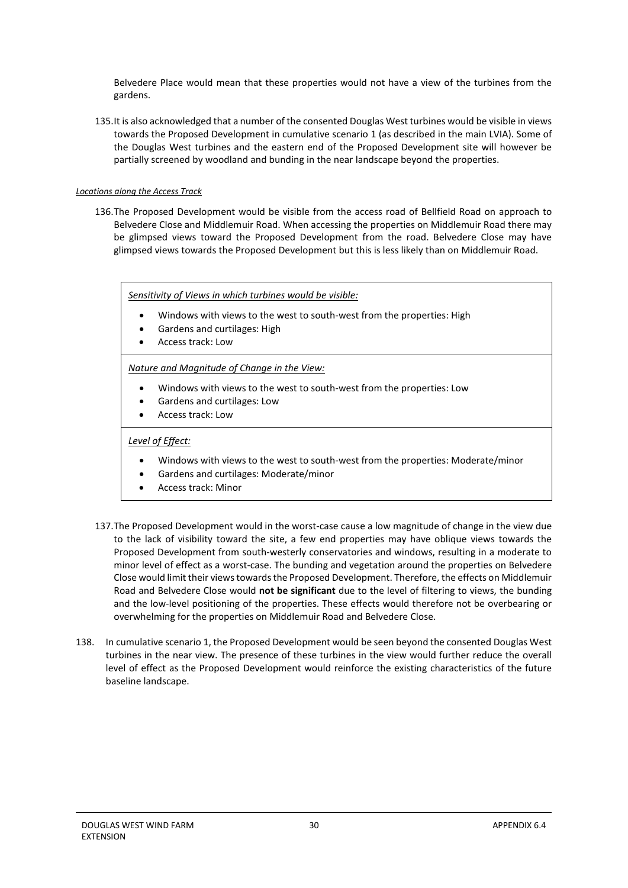Belvedere Place would mean that these properties would not have a view of the turbines from the gardens.

135.It is also acknowledged that a number of the consented Douglas West turbines would be visible in views towards the Proposed Development in cumulative scenario 1 (as described in the main LVIA). Some of the Douglas West turbines and the eastern end of the Proposed Development site will however be partially screened by woodland and bunding in the near landscape beyond the properties.

#### *Locations along the Access Track*

136.The Proposed Development would be visible from the access road of Bellfield Road on approach to Belvedere Close and Middlemuir Road. When accessing the properties on Middlemuir Road there may be glimpsed views toward the Proposed Development from the road. Belvedere Close may have glimpsed views towards the Proposed Development but this is less likely than on Middlemuir Road.

*Sensitivity of Views in which turbines would be visible:*

- Windows with views to the west to south-west from the properties: High
- Gardens and curtilages: High
- Access track: Low

#### *Nature and Magnitude of Change in the View:*

- Windows with views to the west to south-west from the properties: Low
- Gardens and curtilages: Low
- Access track: Low

#### *Level of Effect:*

- Windows with views to the west to south-west from the properties: Moderate/minor
- Gardens and curtilages: Moderate/minor
- Access track: Minor
- 137.The Proposed Development would in the worst-case cause a low magnitude of change in the view due to the lack of visibility toward the site, a few end properties may have oblique views towards the Proposed Development from south-westerly conservatories and windows, resulting in a moderate to minor level of effect as a worst-case. The bunding and vegetation around the properties on Belvedere Close would limit their views towards the Proposed Development. Therefore, the effects on Middlemuir Road and Belvedere Close would **not be significant** due to the level of filtering to views, the bunding and the low-level positioning of the properties. These effects would therefore not be overbearing or overwhelming for the properties on Middlemuir Road and Belvedere Close.
- 138. In cumulative scenario 1, the Proposed Development would be seen beyond the consented Douglas West turbines in the near view. The presence of these turbines in the view would further reduce the overall level of effect as the Proposed Development would reinforce the existing characteristics of the future baseline landscape.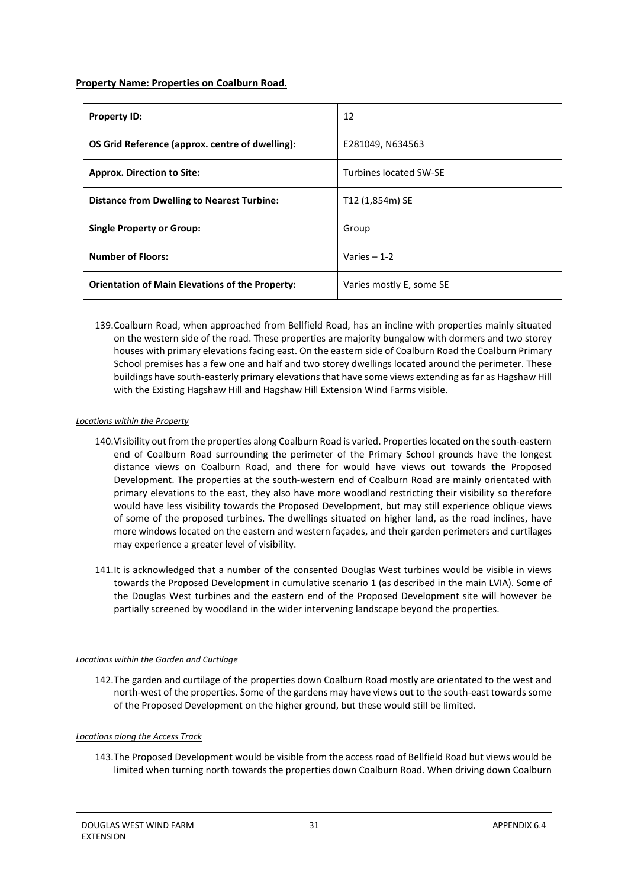**Property Name: Properties on Coalburn Road.**

| <b>Property ID:</b>                                    | 12                       |  |
|--------------------------------------------------------|--------------------------|--|
| OS Grid Reference (approx. centre of dwelling):        | E281049, N634563         |  |
| <b>Approx. Direction to Site:</b>                      | Turbines located SW-SE   |  |
| <b>Distance from Dwelling to Nearest Turbine:</b>      | T12 (1,854m) SE          |  |
| <b>Single Property or Group:</b>                       | Group                    |  |
| <b>Number of Floors:</b>                               | Varies $-1-2$            |  |
| <b>Orientation of Main Elevations of the Property:</b> | Varies mostly E, some SE |  |

139.Coalburn Road, when approached from Bellfield Road, has an incline with properties mainly situated on the western side of the road. These properties are majority bungalow with dormers and two storey houses with primary elevations facing east. On the eastern side of Coalburn Road the Coalburn Primary School premises has a few one and half and two storey dwellings located around the perimeter. These buildings have south-easterly primary elevations that have some views extending as far as Hagshaw Hill with the Existing Hagshaw Hill and Hagshaw Hill Extension Wind Farms visible.

#### *Locations within the Property*

- 140.Visibility out from the properties along Coalburn Road is varied. Properties located on the south-eastern end of Coalburn Road surrounding the perimeter of the Primary School grounds have the longest distance views on Coalburn Road, and there for would have views out towards the Proposed Development. The properties at the south-western end of Coalburn Road are mainly orientated with primary elevations to the east, they also have more woodland restricting their visibility so therefore would have less visibility towards the Proposed Development, but may still experience oblique views of some of the proposed turbines. The dwellings situated on higher land, as the road inclines, have more windows located on the eastern and western façades, and their garden perimeters and curtilages may experience a greater level of visibility.
- 141.It is acknowledged that a number of the consented Douglas West turbines would be visible in views towards the Proposed Development in cumulative scenario 1 (as described in the main LVIA). Some of the Douglas West turbines and the eastern end of the Proposed Development site will however be partially screened by woodland in the wider intervening landscape beyond the properties.

### *Locations within the Garden and Curtilage*

142.The garden and curtilage of the properties down Coalburn Road mostly are orientated to the west and north-west of the properties. Some of the gardens may have views out to the south-east towards some of the Proposed Development on the higher ground, but these would still be limited.

### *Locations along the Access Track*

143.The Proposed Development would be visible from the access road of Bellfield Road but views would be limited when turning north towards the properties down Coalburn Road. When driving down Coalburn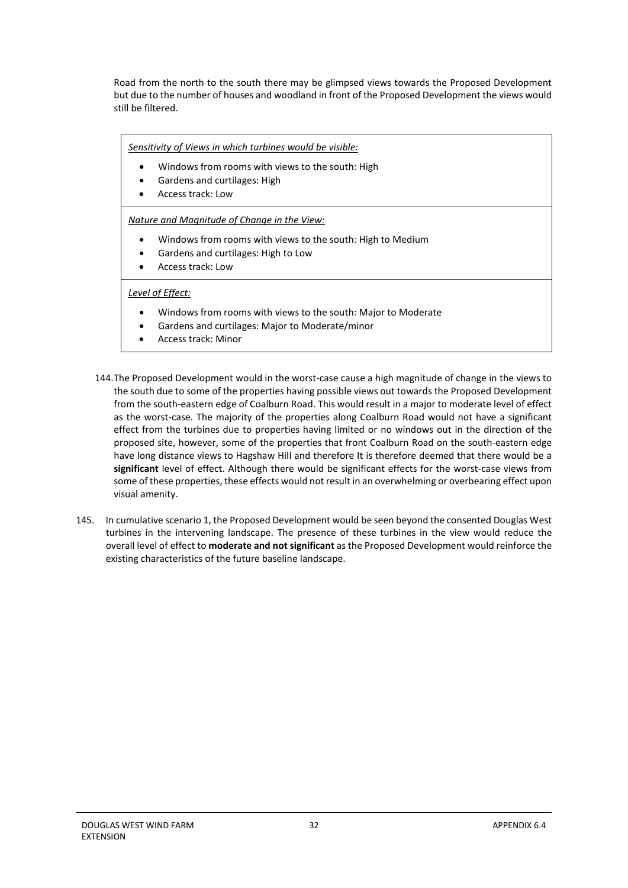Road from the north to the south there may be glimpsed views towards the Proposed Development but due to the number of houses and woodland in front of the Proposed Development the views would still be filtered.

*Sensitivity of Views in which turbines would be visible:*

- Windows from rooms with views to the south: High
- Gardens and curtilages: High
- Access track: Low

#### *Nature and Magnitude of Change in the View:*

- Windows from rooms with views to the south: High to Medium
- Gardens and curtilages: High to Low
- Access track: Low

### *Level of Effect:*

- Windows from rooms with views to the south: Major to Moderate
- Gardens and curtilages: Major to Moderate/minor
- Access track: Minor
- 144.The Proposed Development would in the worst-case cause a high magnitude of change in the views to the south due to some of the properties having possible views out towards the Proposed Development from the south-eastern edge of Coalburn Road. This would result in a major to moderate level of effect as the worst-case. The majority of the properties along Coalburn Road would not have a significant effect from the turbines due to properties having limited or no windows out in the direction of the proposed site, however, some of the properties that front Coalburn Road on the south-eastern edge have long distance views to Hagshaw Hill and therefore It is therefore deemed that there would be a **significant** level of effect. Although there would be significant effects for the worst-case views from some of these properties, these effects would not result in an overwhelming or overbearing effect upon visual amenity.
- 145. In cumulative scenario 1, the Proposed Development would be seen beyond the consented Douglas West turbines in the intervening landscape. The presence of these turbines in the view would reduce the overall level of effect to **moderate and not significant** as the Proposed Development would reinforce the existing characteristics of the future baseline landscape.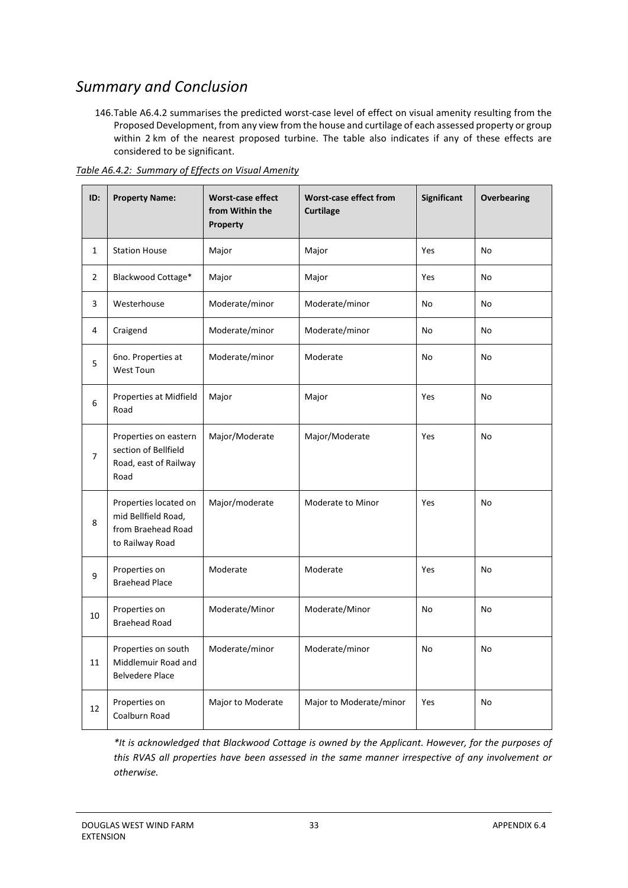# *Summary and Conclusion*

146.Table A6.4.2 summarises the predicted worst-case level of effect on visual amenity resulting from the Proposed Development, from any view from the house and curtilage of each assessed property or group within 2 km of the nearest proposed turbine. The table also indicates if any of these effects are considered to be significant.

| ID:            | <b>Property Name:</b>                                                                 | <b>Worst-case effect</b><br>from Within the<br><b>Property</b> | <b>Worst-case effect from</b><br><b>Curtilage</b> | Significant | <b>Overbearing</b> |
|----------------|---------------------------------------------------------------------------------------|----------------------------------------------------------------|---------------------------------------------------|-------------|--------------------|
| 1              | <b>Station House</b>                                                                  | Major                                                          | Major                                             | Yes         | No                 |
| $\overline{2}$ | Blackwood Cottage*                                                                    | Major                                                          | Major                                             | Yes         | No                 |
| 3              | Westerhouse                                                                           | Moderate/minor                                                 | Moderate/minor                                    | No          | No                 |
| 4              | Craigend                                                                              | Moderate/minor                                                 | Moderate/minor                                    | No          | No                 |
| 5              | 6no. Properties at<br>West Toun                                                       | Moderate/minor                                                 | Moderate                                          | <b>No</b>   | No                 |
| 6              | Properties at Midfield<br>Road                                                        | Major                                                          | Major                                             | Yes         | No                 |
| $\overline{7}$ | Properties on eastern<br>section of Bellfield<br>Road, east of Railway<br>Road        | Major/Moderate                                                 | Major/Moderate                                    | Yes         | No                 |
| 8              | Properties located on<br>mid Bellfield Road,<br>from Braehead Road<br>to Railway Road | Major/moderate                                                 | Moderate to Minor                                 | Yes         | No                 |
| 9              | Properties on<br><b>Braehead Place</b>                                                | Moderate                                                       | Moderate                                          | Yes         | No                 |
| 10             | Properties on<br><b>Braehead Road</b>                                                 | Moderate/Minor                                                 | Moderate/Minor                                    | No          | No                 |
| 11             | Properties on south<br>Middlemuir Road and<br><b>Belvedere Place</b>                  | Moderate/minor                                                 | Moderate/minor                                    | No          | No                 |
| 12             | Properties on<br>Coalburn Road                                                        | Major to Moderate                                              | Major to Moderate/minor                           | Yes         | No                 |

*Table A6.4.2: Summary of Effects on Visual Amenity*

*\*It is acknowledged that Blackwood Cottage is owned by the Applicant. However, for the purposes of this RVAS all properties have been assessed in the same manner irrespective of any involvement or otherwise.*